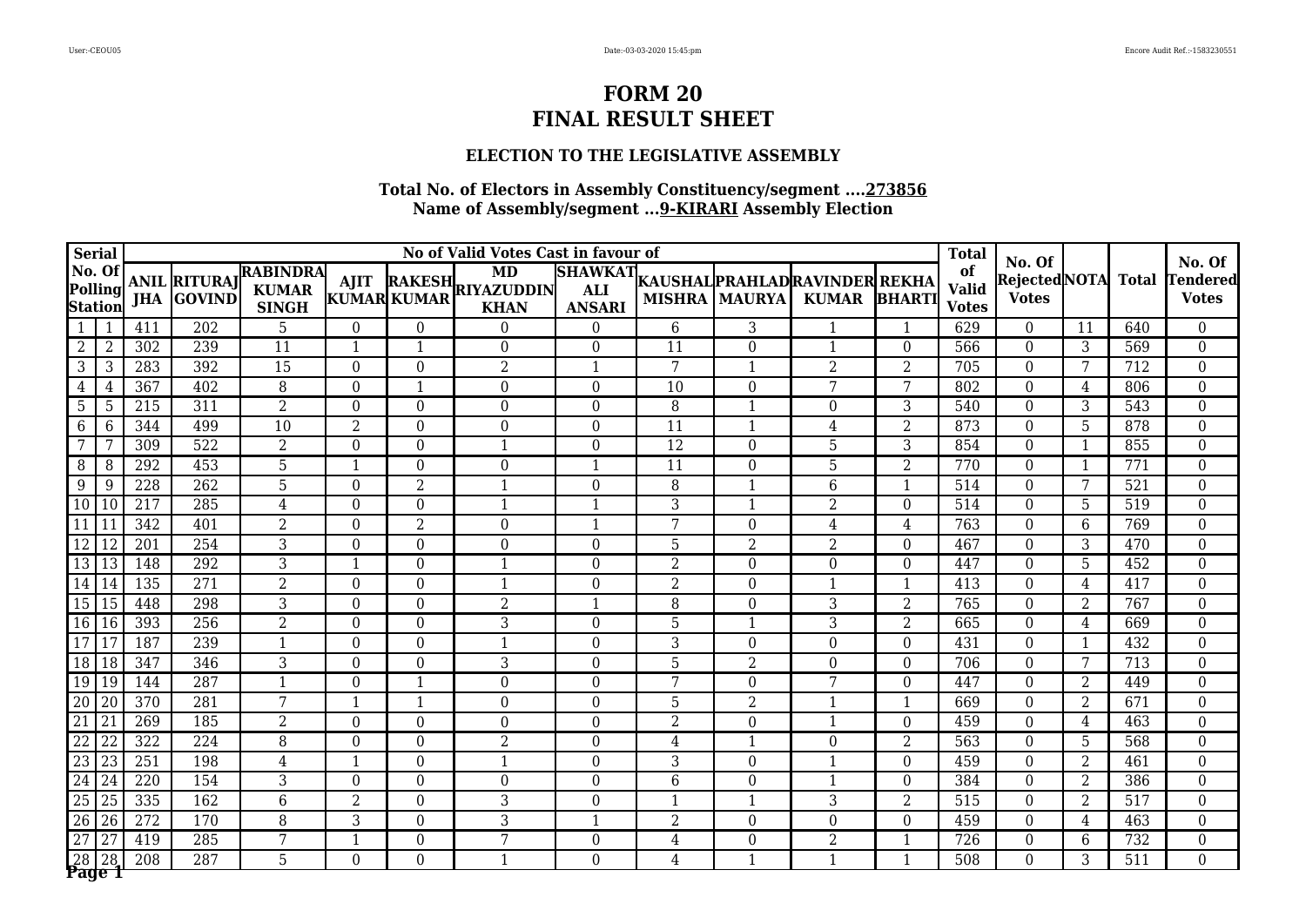## **ELECTION TO THE LEGISLATIVE ASSEMBLY**

|                 | <b>Serial</b>      |                  |                                          |                                                 |                  |                  | No of Valid Votes Cast in favour of           |                                               |                 |                      |                                                |                | <b>Total</b>                       | No. Of                       |                |                  | No. Of                          |
|-----------------|--------------------|------------------|------------------------------------------|-------------------------------------------------|------------------|------------------|-----------------------------------------------|-----------------------------------------------|-----------------|----------------------|------------------------------------------------|----------------|------------------------------------|------------------------------|----------------|------------------|---------------------------------|
| No. Of          | Polling<br>Station |                  | <b>ANIL RITURAJ</b><br><b>JHA GOVIND</b> | <b>RABINDRA</b><br><b>KUMAR</b><br><b>SINGH</b> | <b>AJIT</b>      | KUMAR KUMAR      | <b>MD</b><br>RAKESH RIYAZUDDIN<br><b>KHAN</b> | <b>SHAWKAT</b><br><b>ALI</b><br><b>ANSARI</b> |                 | <b>MISHRA MAURYA</b> | KAUSHAL PRAHLAD RAVINDER REKHA<br><b>KUMAR</b> | <b>BHARTI</b>  | of<br><b>Valid</b><br><b>Votes</b> | RejectedNOTA<br><b>Votes</b> |                | <b>Total</b>     | <b>Tendered</b><br><b>Votes</b> |
|                 |                    | 411              | 202                                      | 5                                               | $\Omega$         | $\theta$         | $\Omega$                                      | $\Omega$                                      | 6               | 3                    | $\mathbf 1$                                    | 1              | 629                                | $\theta$                     | 11             | 640              | $\theta$                        |
| $2^{\circ}$     | 2                  | 302              | 239                                      | 11                                              | $\mathbf{1}$     | $\mathbf{1}$     | $\overline{0}$                                | $\Omega$                                      | 11              | $\overline{0}$       | $\overline{\mathbf{1}}$                        | $\theta$       | 566                                | $\theta$                     | 3              | 569              | $\overline{0}$                  |
| 3               | 3                  | 283              | 392                                      | $\overline{15}$                                 | $\overline{0}$   | $\overline{0}$   | $\overline{2}$                                | $\mathbf 1$                                   | 7               | $\mathbf{1}$         | $\overline{2}$                                 | $\overline{2}$ | 705                                | $\Omega$                     | 7              | 712              | $\overline{0}$                  |
| 4               | 4                  | 367              | 402                                      | 8                                               | $\Omega$         | $\mathbf{1}$     | $\overline{0}$                                | $\Omega$                                      | 10              | $\Omega$             | 7                                              | 7              | 802                                | $\Omega$                     | 4              | 806              | $\overline{0}$                  |
| 5 <sup>5</sup>  | -5                 | 215              | 311                                      | $\overline{2}$                                  | $\boldsymbol{0}$ | $\boldsymbol{0}$ | $\mathbf{0}$                                  | $\Omega$                                      | 8               | $\mathbf{1}$         | $\overline{0}$                                 | 3              | 540                                | $\theta$                     | 3              | 543              | $\boldsymbol{0}$                |
| 6               | 6                  | 344              | 499                                      | 10                                              | $\overline{2}$   | $\overline{0}$   | $\overline{0}$                                | $\Omega$                                      | 11              | $\mathbf{1}$         | 4                                              | 2              | 873                                | $\Omega$                     | 5              | 878              | $\overline{0}$                  |
|                 |                    | 309              | 522                                      | $\overline{2}$                                  | $\theta$         | $\theta$         | 1                                             | $\Omega$                                      | $\overline{12}$ | $\theta$             | 5                                              | 3              | 854                                | $\Omega$                     | -1             | 855              | $\boldsymbol{0}$                |
| 8               | 8                  | 292              | 453                                      | $\overline{5}$                                  | 1                | $\overline{0}$   | $\overline{0}$                                | -1                                            | $\overline{11}$ | $\overline{0}$       | 5                                              | $\overline{2}$ | 770                                | $\Omega$                     | $\overline{1}$ | 771              | $\overline{0}$                  |
| 9               | 9                  | 228              | 262                                      | $\overline{5}$                                  | $\theta$         | $\overline{2}$   | $\mathbf{1}$                                  | $\Omega$                                      | 8               | $\mathbf{1}$         | 6                                              | $\mathbf{1}$   | 514                                | $\Omega$                     | 7              | $\overline{521}$ | $\overline{0}$                  |
| 10 <sup>1</sup> | 10                 | 217              | 285                                      | 4                                               | $\boldsymbol{0}$ | $\boldsymbol{0}$ | $\mathbf{1}$                                  | -1                                            | 3               | $\mathbf{1}$         | 2                                              | $\overline{0}$ | 514                                | $\theta$                     | 5              | 519              | $\overline{0}$                  |
| 11              |                    | 342              | 401                                      | $\overline{2}$                                  | $\overline{0}$   | $\overline{2}$   | $\overline{0}$                                | -1                                            | 7               | $\overline{0}$       | 4                                              | $\overline{4}$ | 763                                | $\theta$                     | 6              | 769              | $\boldsymbol{0}$                |
| 12              |                    | 201              | 254                                      | 3                                               | $\theta$         | $\overline{0}$   | $\overline{0}$                                | $\Omega$                                      | 5               | $\overline{2}$       | $\overline{2}$                                 | $\theta$       | 467                                | $\theta$                     | 3              | 470              | $\overline{0}$                  |
| 13              | 13                 | 148              | 292                                      | 3                                               | 1                | $\theta$         | 1                                             | $\Omega$                                      | $\overline{2}$  | $\overline{0}$       | 0                                              | $\Omega$       | 447                                | $\Omega$                     | 5              | 452              | $\overline{0}$                  |
| 14              | 14                 | 135              | 271                                      | $\overline{2}$                                  | $\theta$         | $\theta$         | $\mathbf{1}$                                  | $\Omega$                                      | $\overline{2}$  | $\theta$             | $\overline{\mathbf{1}}$                        | $\mathbf 1$    | 413                                | $\Omega$                     | 4              | 417              | $\mathbf{0}$                    |
| 15              | l 15               | 448              | 298                                      | 3                                               | $\theta$         | $\overline{0}$   | 2                                             | $\mathbf{1}$                                  | 8               | $\overline{0}$       | 3                                              | $\overline{2}$ | 765                                | $\theta$                     | 2              | 767              | $\overline{0}$                  |
| 16 16           |                    | 393              | 256                                      | $\overline{2}$                                  | $\overline{0}$   | $\boldsymbol{0}$ | 3                                             | $\overline{0}$                                | 5               | $\mathbf{1}$         | 3                                              | $\overline{2}$ | 665                                | $\theta$                     | 4              | 669              | $\boldsymbol{0}$                |
| $\overline{17}$ |                    | 187              | 239                                      | $\overline{1}$                                  | $\overline{0}$   | $\overline{0}$   | $\mathbf{1}$                                  | $\overline{0}$                                | 3               | $\overline{0}$       | $\overline{0}$                                 | $\mathbf{0}$   | 431                                | $\overline{0}$               | $\mathbf{1}$   | 432              | $\boldsymbol{0}$                |
| 18 18           |                    | 347              | 346                                      | 3                                               | $\theta$         | $\theta$         | 3                                             | $\Omega$                                      | 5               | $\overline{2}$       | $\Omega$                                       | $\Omega$       | 706                                | $\Omega$                     | 7              | 713              | $\boldsymbol{0}$                |
| 19 19           |                    | 144              | 287                                      | $\mathbf{1}$                                    | 0                | $\mathbf{1}$     | $\overline{0}$                                | $\Omega$                                      | 7               | $\overline{0}$       | 7                                              | $\theta$       | 447                                | $\Omega$                     | 2              | 449              | $\mathbf{0}$                    |
| 20              | 20                 | 370              | 281                                      | 7                                               | 1                | $\mathbf{1}$     | $\overline{0}$                                | $\Omega$                                      | 5               | $\overline{2}$       | $\mathbf{1}$                                   | $\mathbf{1}$   | 669                                | $\Omega$                     | $\overline{2}$ | 671              | $\overline{0}$                  |
| 21              | 21                 | 269              | 185                                      | $\overline{2}$                                  | $\boldsymbol{0}$ | $\boldsymbol{0}$ | $\overline{0}$                                | $\overline{0}$                                | $\overline{2}$  | $\overline{0}$       | $\overline{1}$                                 | $\theta$       | 459                                | $\theta$                     | 4              | 463              | $\boldsymbol{0}$                |
| 22              | 22                 | 322              | 224                                      | 8                                               | $\boldsymbol{0}$ | $\boldsymbol{0}$ | 2                                             | $\overline{0}$                                | $\overline{4}$  | $\mathbf{1}$         | $\overline{0}$                                 | $\overline{2}$ | 563                                | $\overline{0}$               | 5              | 568              | $\overline{0}$                  |
| 23              | 23                 | 251              | 198                                      | 4                                               | $\mathbf{1}$     | $\overline{0}$   | $\mathbf{1}$                                  | $\Omega$                                      | 3               | $\overline{0}$       | $\mathbf 1$                                    | $\theta$       | 459                                | $\Omega$                     | $\overline{2}$ | 461              | $\overline{0}$                  |
| 24              | 24                 | 220              | 154                                      | 3                                               | $\Omega$         | $\theta$         | $\Omega$                                      | $\Omega$                                      | 6               | $\Omega$             | $\overline{\mathbf{1}}$                        | $\Omega$       | 384                                | $\theta$                     | 2              | 386              | $\overline{0}$                  |
| 25              | 25                 | 335              | 162                                      | 6                                               | $\overline{2}$   | $\boldsymbol{0}$ | 3                                             | $\Omega$                                      | -1              | $\mathbf{1}$         | 3                                              | $\overline{2}$ | 515                                | $\Omega$                     | 2              | 517              | $\boldsymbol{0}$                |
| $\overline{26}$ | 26                 | 272              | 170                                      | 8                                               | 3                | $\overline{0}$   | 3                                             |                                               | $\overline{2}$  | $\overline{0}$       | $\theta$                                       | $\theta$       | 459                                | $\theta$                     | 4              | 463              | $\overline{0}$                  |
| 27              | 27                 | 419              | 285                                      | 7                                               | $\mathbf{1}$     | $\boldsymbol{0}$ | 7                                             | $\boldsymbol{0}$                              | $\overline{4}$  | $\boldsymbol{0}$     | $\overline{2}$                                 | -1             | 726                                | $\boldsymbol{0}$             | 6              | 732              | $\boldsymbol{0}$                |
| 28              | Page 1             | $\overline{208}$ | 287                                      | $\overline{5}$                                  | $\overline{0}$   | $\Omega$         | $\overline{1}$                                | $\Omega$                                      | 4               | $\mathbf{1}$         | $\mathbf{1}$                                   | $\mathbf{1}$   | 508                                | $\Omega$                     | 3              | 511              | $\overline{0}$                  |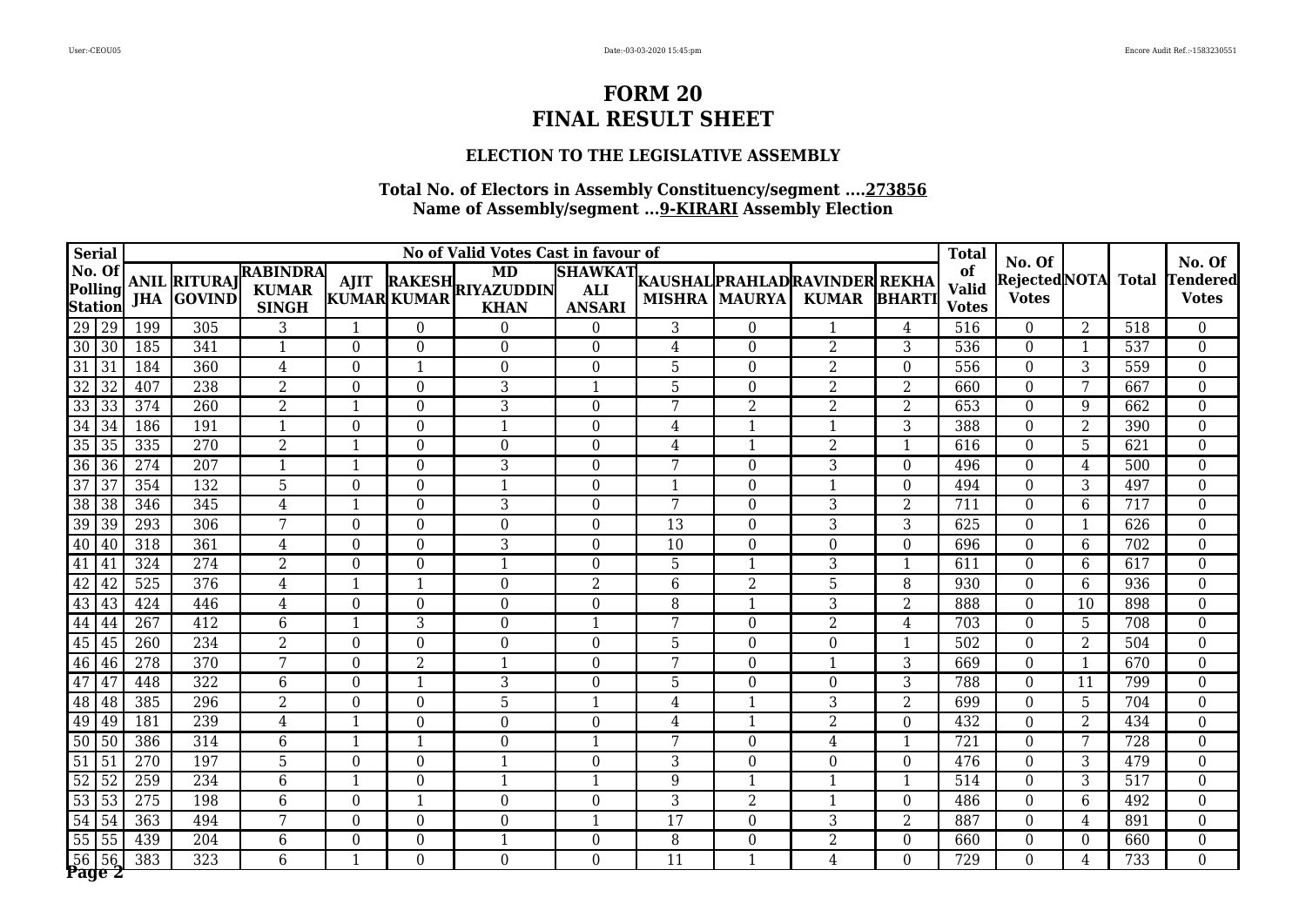### **ELECTION TO THE LEGISLATIVE ASSEMBLY**

|                 | <b>Serial</b>             |     |                                          |                                                 |                          |                          | No of Valid Votes Cast in favour of    |                  |                 |                        |                                                        |                | <b>Total</b>                       | No. Of                              |                |              | No. Of                    |
|-----------------|---------------------------|-----|------------------------------------------|-------------------------------------------------|--------------------------|--------------------------|----------------------------------------|------------------|-----------------|------------------------|--------------------------------------------------------|----------------|------------------------------------|-------------------------------------|----------------|--------------|---------------------------|
| No. Of          | Polling<br><b>Station</b> |     | <b>ANIL RITURAJ</b><br><b>JHA GOVIND</b> | <b>RABINDRA</b><br><b>KUMAR</b><br><b>SINGH</b> | <b>AJIT</b>              | KUMAR KUMAR              | MD<br>RAKESH RIYAZUDDIN<br><b>KHAN</b> | <b>ANSARI</b>    |                 | <b>MISHRA   MAURYA</b> | SHAWKAT KAUSHAL PRAHLAD RAVINDER REKHA<br><b>KUMAR</b> | <b>BHARTI</b>  | of<br><b>Valid</b><br><b>Votes</b> | <b>RejectedNOTA</b><br><b>Votes</b> |                | <b>Total</b> | Tendered <br><b>Votes</b> |
| 29 29           |                           | 199 | 305                                      | 3                                               | $\overline{\mathbf{1}}$  | $\theta$                 | $\Omega$                               | $\Omega$         | 3               | $\boldsymbol{0}$       |                                                        | 4              | 516                                | $\Omega$                            | $\overline{2}$ | 518          | $\boldsymbol{0}$          |
| 30 30           |                           | 185 | 341                                      | $\mathbf{1}$                                    | $\overline{0}$           | $\mathbf{0}$             | $\overline{0}$                         | $\Omega$         | $\overline{4}$  | $\overline{0}$         | $\overline{2}$                                         | 3              | 536                                | $\overline{0}$                      | 1              | 537          | $\boldsymbol{0}$          |
| 31              | 31                        | 184 | 360                                      | 4                                               | $\overline{0}$           | -1                       | $\Omega$                               | $\Omega$         | 5               | $\theta$               | $\overline{2}$                                         | $\theta$       | 556                                | $\Omega$                            | 3              | 559          | $\overline{0}$            |
| $\overline{32}$ | 32                        | 407 | 238                                      | $\overline{2}$                                  | $\theta$                 | $\Omega$                 | 3                                      |                  | 5               | $\boldsymbol{0}$       | $\overline{2}$                                         | $\overline{2}$ | 660                                | $\Omega$                            | 7              | 667          | $\boldsymbol{0}$          |
| 33              | 33                        | 374 | 260                                      | $\overline{2}$                                  | $\mathbf{1}$             | $\Omega$                 | 3                                      | $\Omega$         | 7               | $\overline{2}$         | $\overline{2}$                                         | $\overline{2}$ | 653                                | $\Omega$                            | 9              | 662          | $\boldsymbol{0}$          |
| 34              | 34                        | 186 | 191                                      | $\mathbf 1$                                     | $\boldsymbol{0}$         | $\mathbf{0}$             | $\mathbf{1}$                           | $\theta$         | 4               | $\mathbf{1}$           | $\mathbf 1$                                            | 3              | 388                                | $\Omega$                            | $\overline{2}$ | 390          | $\boldsymbol{0}$          |
| 35              | 35                        | 335 | 270                                      | $\overline{2}$                                  | $\overline{1}$           | $\mathbf{0}$             | $\boldsymbol{0}$                       | $\overline{0}$   | 4               | $\mathbf{1}$           | $\overline{2}$                                         | $\mathbf{1}$   | 616                                | $\overline{0}$                      | $5\phantom{.}$ | 621          | $\boldsymbol{0}$          |
| 36              | 36                        | 274 | 207                                      | $\mathbf 1$                                     | $\mathbf{1}$             | $\mathbf{0}$             | 3                                      | $\Omega$         | 7               | $\boldsymbol{0}$       | 3                                                      | $\theta$       | 496                                | $\Omega$                            | $\overline{4}$ | 500          | $\mathbf{0}$              |
| $\overline{37}$ | 37                        | 354 | 132                                      | 5                                               | $\theta$                 | $\mathbf{0}$             | $\mathbf{1}$                           | $\Omega$         | $\mathbf 1$     | $\boldsymbol{0}$       | $\mathbf{1}$                                           | $\theta$       | 494                                | $\Omega$                            | 3              | 497          | $\boldsymbol{0}$          |
| 38              | 38                        | 346 | $\frac{345}{ }$                          | $\overline{4}$                                  | $\overline{\phantom{a}}$ | $\Omega$                 | $\overline{3}$                         | $\theta$         | 7               | $\boldsymbol{0}$       | 3                                                      | $\overline{2}$ | 711                                | $\Omega$                            | 6              | 717          | $\boldsymbol{0}$          |
| 39              | 39                        | 293 | 306                                      | 7                                               | $\Omega$                 | $\Omega$                 | $\Omega$                               | $\Omega$         | 13              | $\theta$               | 3                                                      | 3              | 625                                | $\Omega$                            | -1             | 626          | $\boldsymbol{0}$          |
| 40 40           |                           | 318 | 361                                      | $\overline{4}$                                  | $\overline{0}$           | $\mathbf{0}$             | 3                                      | $\overline{0}$   | $\overline{10}$ | $\overline{0}$         | $\overline{0}$                                         | $\mathbf{0}$   | 696                                | $\overline{0}$                      | 6              | 702          | $\overline{0}$            |
| 41              | $\sqrt{41}$               | 324 | 274                                      | $\overline{2}$                                  | $\boldsymbol{0}$         | $\mathbf{0}$             | $\mathbf{1}$                           | $\theta$         | 5               | 1                      | 3                                                      | $\mathbf{1}$   | 611                                | $\overline{0}$                      | 6              | 617          | $\boldsymbol{0}$          |
| 42              | 42                        | 525 | 376                                      | $\overline{4}$                                  | $\mathbf{1}$             | $\overline{1}$           | $\boldsymbol{0}$                       | $\overline{2}$   | 6               | $\overline{2}$         | 5                                                      | 8              | 930                                | $\Omega$                            | 6              | 936          | $\boldsymbol{0}$          |
|                 | 43 43                     | 424 | 446                                      | 4                                               | 0                        | $\boldsymbol{0}$         | $\boldsymbol{0}$                       | $\Omega$         | 8               | 1                      | 3                                                      | $\overline{2}$ | 888                                | $\theta$                            | 10             | 898          | $\overline{0}$            |
| 44              | 44                        | 267 | 412                                      | 6                                               | $\mathbf{1}$             | 3                        | $\Omega$                               | $\mathbf{1}$     | 7               | $\theta$               | 2                                                      | 4              | 703                                | $\Omega$                            | 5              | 708          | $\boldsymbol{0}$          |
| 45              | 45                        | 260 | 234                                      | $\overline{2}$                                  | $\overline{0}$           | $\mathbf{0}$             | $\Omega$                               | $\Omega$         | 5               | $\overline{0}$         | $\Omega$                                               | $\mathbf{1}$   | 502                                | $\Omega$                            | 2              | 504          | $\boldsymbol{0}$          |
| 46              | l 46                      | 278 | $\overline{370}$                         | 7                                               | $\overline{0}$           | $\overline{2}$           | $\mathbf{1}$                           | $\Omega$         | 7               | $\Omega$               | $\mathbf 1$                                            | $\overline{3}$ | 669                                | $\Omega$                            | 1              | 670          | $\overline{0}$            |
| 47              | 47                        | 448 | 322                                      | 6                                               | $\boldsymbol{0}$         | $\overline{1}$           | $\overline{3}$                         | $\overline{0}$   | $\overline{5}$  | $\boldsymbol{0}$       | $\theta$                                               | $\overline{3}$ | 788                                | $\overline{0}$                      | 11             | 799          | $\overline{0}$            |
| 48              | 48                        | 385 | 296                                      | $\overline{2}$                                  | $\boldsymbol{0}$         | $\overline{0}$           | $\overline{5}$                         | $\mathbf{1}$     | 4               | $\mathbf{1}$           | $\overline{3}$                                         | $\overline{2}$ | 699                                | $\overline{0}$                      | $5\phantom{.}$ | 704          | $\boldsymbol{0}$          |
| 49 49           |                           | 181 | 239                                      | 4                                               | $\mathbf{1}$             | $\Omega$                 | $\boldsymbol{0}$                       | $\Omega$         | 4               | $\mathbf{1}$           | $\overline{2}$                                         | $\Omega$       | 432                                | $\Omega$                            | 2              | 434          | $\boldsymbol{0}$          |
| 50 50           |                           | 386 | 314                                      | 6                                               | $\mathbf{1}$             | $\overline{\phantom{a}}$ | $\boldsymbol{0}$                       | $\mathbf{1}$     | 7               | $\boldsymbol{0}$       | 4                                                      | $\mathbf{1}$   | 721                                | $\theta$                            | 7              | 728          | $\boldsymbol{0}$          |
| 51 51           |                           | 270 | 197                                      | 5                                               | $\overline{0}$           | $\mathbf{0}$             | $\mathbf{1}$                           | $\Omega$         | 3               | $\overline{0}$         | $\Omega$                                               | $\overline{0}$ | 476                                | $\Omega$                            | 3              | 479          | $\overline{0}$            |
| 52              | 52                        | 259 | 234                                      | 6                                               | $\mathbf{1}$             | $\Omega$                 | $\mathbf{1}$                           | $\overline{1}$   | 9               | $\mathbf{1}$           | $\mathbf{1}$                                           | $\mathbf{1}$   | 514                                | $\Omega$                            | 3              | 517          | $\overline{0}$            |
| 53              | $\overline{53}$           | 275 | 198                                      | 6                                               | $\overline{0}$           | $\overline{\phantom{a}}$ | $\boldsymbol{0}$                       | $\Omega$         | 3               | $\overline{2}$         | $\mathbf{1}$                                           | $\theta$       | 486                                | $\Omega$                            | 6              | 492          | $\overline{0}$            |
| 54              | 54                        | 363 | 494                                      | $\overline{7}$                                  | $\boldsymbol{0}$         | $\boldsymbol{0}$         | $\boldsymbol{0}$                       | $\overline{1}$   | $\overline{17}$ | $\boldsymbol{0}$       | 3                                                      | $\overline{2}$ | 887                                | $\Omega$                            | 4              | 891          | $\boldsymbol{0}$          |
| 55              | 55                        | 439 | 204                                      | 6                                               | $\boldsymbol{0}$         | $\boldsymbol{0}$         | $\mathbf{1}$                           | $\boldsymbol{0}$ | 8               | $\boldsymbol{0}$       | $\overline{2}$                                         | $\mathbf{0}$   | 660                                | $\Omega$                            | $\overline{0}$ | 660          | $\boldsymbol{0}$          |
| 56              | 56<br>Page 2              | 383 | 323                                      | $\overline{6}$                                  | $\overline{1}$           | $\Omega$                 | $\overline{0}$                         | 0                | $\overline{11}$ | $\mathbf{1}$           | 4                                                      | $\Omega$       | 729                                | $\Omega$                            | 4              | 733          | $\overline{0}$            |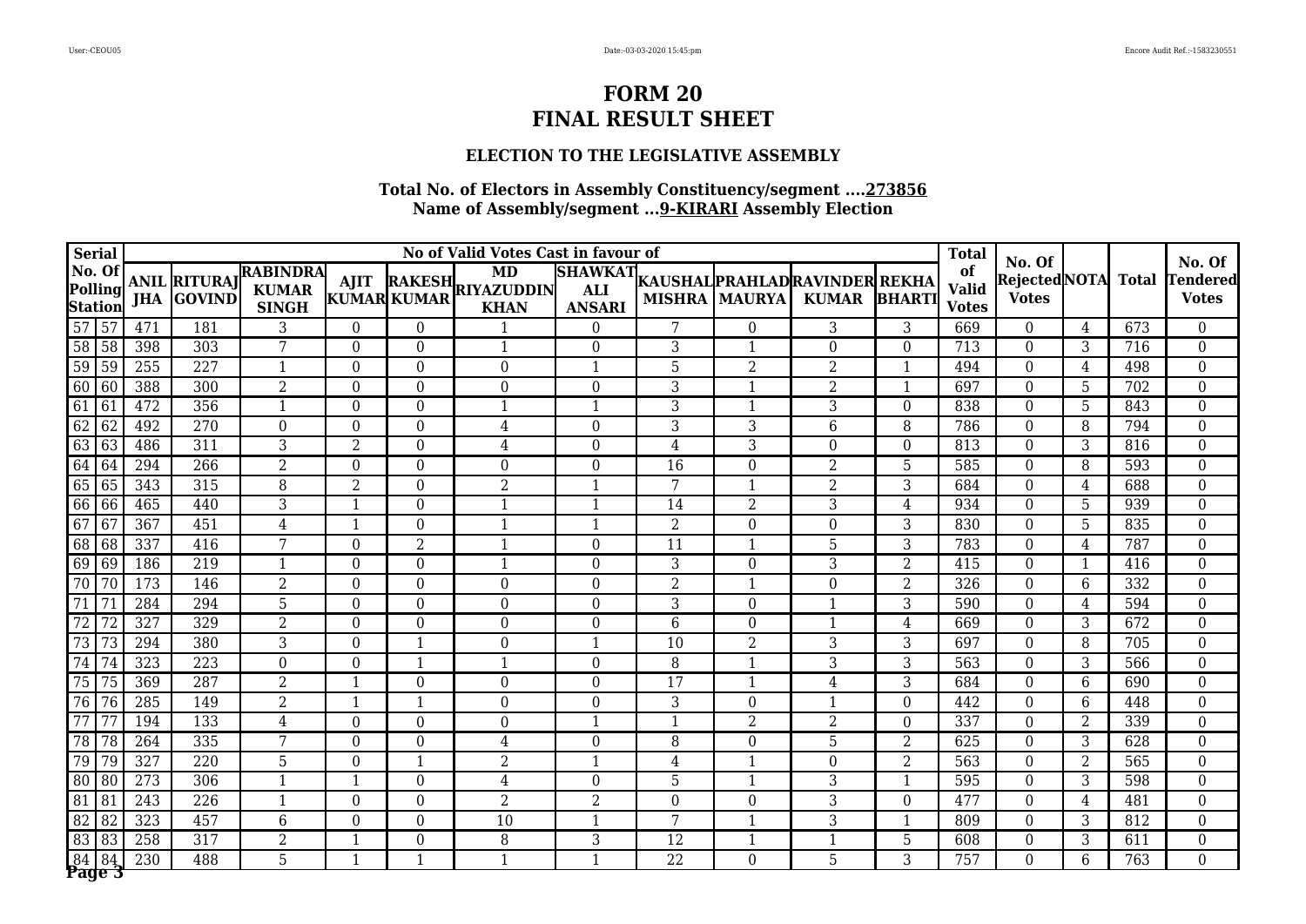### **ELECTION TO THE LEGISLATIVE ASSEMBLY**

| <b>Serial</b>                       |                  |                                          |                                                 |                  |                  | No of Valid Votes Cast in favour of    |                                               |                         |                          |                                                |                | <b>Total</b>                       | No. Of                              |                |              | No. Of                   |
|-------------------------------------|------------------|------------------------------------------|-------------------------------------------------|------------------|------------------|----------------------------------------|-----------------------------------------------|-------------------------|--------------------------|------------------------------------------------|----------------|------------------------------------|-------------------------------------|----------------|--------------|--------------------------|
| No. Of<br>Polling<br><b>Station</b> |                  | <b>ANIL RITURAJ</b><br><b>JHA GOVIND</b> | <b>RABINDRA</b><br><b>KUMAR</b><br><b>SINGH</b> | <b>AJIT</b>      | KUMAR KUMAR      | MD<br>RAKESH RIYAZUDDIN<br><b>KHAN</b> | <b>SHAWKAT</b><br><b>ALI</b><br><b>ANSARI</b> |                         | <b>MISHRA MAURYA</b>     | KAUSHAL PRAHLAD RAVINDER REKHA<br>KUMAR BHARTI |                | of<br><b>Valid</b><br><b>Votes</b> | <b>RejectedNOTA</b><br><b>Votes</b> |                | <b>Total</b> | Tendered<br><b>Votes</b> |
| 57 57                               | 471              | 181                                      | 3                                               | $\overline{0}$   | $\boldsymbol{0}$ |                                        | $\boldsymbol{0}$                              | 7                       | $\theta$                 | 3                                              | 3              | 669                                | $\theta$                            | 4              | 673          | $\boldsymbol{0}$         |
| 58 58                               | 398              | 303                                      | 7                                               | $\overline{0}$   | $\boldsymbol{0}$ | 1                                      | $\Omega$                                      | 3                       | $\mathbf{1}$             | $\theta$                                       | $\theta$       | 713                                | $\theta$                            | 3              | 716          | $\boldsymbol{0}$         |
| 59 59                               | 255              | $\overline{227}$                         | $\overline{\mathbf{1}}$                         | $\overline{0}$   | $\overline{0}$   | $\Omega$                               | $\mathbf{1}$                                  | 5                       | $\overline{2}$           | $\overline{2}$                                 | $\mathbf{1}$   | 494                                | $\Omega$                            | 4              | 498          | $\boldsymbol{0}$         |
| 60<br>$\sqrt{60}$                   | 388              | 300                                      | $\overline{2}$                                  | $\overline{0}$   | $\theta$         | $\Omega$                               | $\theta$                                      | 3                       | 1                        | $\overline{2}$                                 | 1              | 697                                | $\theta$                            | 5              | 702          | $\boldsymbol{0}$         |
| 61<br>61                            | 472              | 356                                      | $\overline{1}$                                  | $\overline{0}$   | $\overline{0}$   | $\mathbf{1}$                           | $\mathbf{1}$                                  | 3                       | 1                        | 3                                              | $\Omega$       | 838                                | $\Omega$                            | 5              | 843          | $\boldsymbol{0}$         |
| 62 62                               | 492              | 270                                      | $\Omega$                                        | $\theta$         | $\theta$         | 4                                      | $\theta$                                      | 3                       | 3                        | 6                                              | 8              | 786                                | $\Omega$                            | 8              | 794          | $\boldsymbol{0}$         |
| 63 63                               | 486              | 311                                      | $\overline{3}$                                  | $\overline{2}$   | $\overline{0}$   | 4                                      | $\theta$                                      | 4                       | 3                        | $\theta$                                       | $\Omega$       | 813                                | $\theta$                            | 3              | 816          | $\boldsymbol{0}$         |
| $64$ 64                             | 294              | 266                                      | $\overline{2}$                                  | $\overline{0}$   | $\boldsymbol{0}$ | $\overline{0}$                         | $\overline{0}$                                | $\overline{16}$         | $\overline{0}$           | $\overline{2}$                                 | $\overline{5}$ | 585                                | $\theta$                            | 8              | 593          | $\overline{0}$           |
| 65 65                               | 343              | 315                                      | $\overline{8}$                                  | $\overline{2}$   | $\overline{0}$   | $\overline{2}$                         | $\mathbf{1}$                                  | 7                       | $\mathbf{1}$             | $\overline{2}$                                 | $\overline{3}$ | 684                                | $\theta$                            | $\overline{4}$ | 688          | $\overline{0}$           |
| 66 66                               | 465              | 440                                      | $\overline{3}$                                  | $\mathbf{1}$     | $\overline{0}$   | $\mathbf 1$                            | 1                                             | 14                      | $\overline{2}$           | 3                                              | 4              | 934                                | $\theta$                            | 5              | 939          | $\boldsymbol{0}$         |
| 67<br> 67                           | 367              | 451                                      | 4                                               | $\mathbf{1}$     | $\theta$         | $\mathbf{1}$                           | $\mathbf 1$                                   | 2                       | $\theta$                 | $\theta$                                       | 3              | 830                                | $\theta$                            | 5              | 835          | $\boldsymbol{0}$         |
| 68 68                               | 337              | 416                                      | 7                                               | $\boldsymbol{0}$ | $\overline{2}$   | $\mathbf{1}$                           | $\theta$                                      | 11                      | $\mathbf 1$              | 5                                              | 3              | 783                                | $\theta$                            | 4              | 787          | $\boldsymbol{0}$         |
| 69 69                               | 186              | 219                                      | $\overline{\mathbf{1}}$                         | $\mathbf{0}$     | $\overline{0}$   | 1                                      | $\theta$                                      | 3                       | $\Omega$                 | 3                                              | $\overline{2}$ | 415                                | $\Omega$                            | $\overline{1}$ | 416          | $\boldsymbol{0}$         |
| $\overline{70}$<br>l 70             | 173              | 146                                      | $\overline{2}$                                  | $\overline{0}$   | $\Omega$         | $\Omega$                               | $\theta$                                      | $\overline{2}$          | $\mathbf 1$              | $\theta$                                       | 2              | 326                                | $\Omega$                            | 6              | 332          | $\boldsymbol{0}$         |
| $\overline{71}$<br>$\overline{171}$ | 284              | 294                                      | 5                                               | $\overline{0}$   | $\overline{0}$   | $\overline{0}$                         | $\theta$                                      | 3                       | $\theta$                 | $\mathbf 1$                                    | 3              | 590                                | $\Omega$                            | 4              | 594          | $\boldsymbol{0}$         |
| $\overline{72}$<br>$\overline{72}$  | 327              | 329                                      | $\overline{2}$                                  | $\overline{0}$   | $\overline{0}$   | $\Omega$                               | $\theta$                                      | 6                       | $\overline{0}$           | $\mathbf 1$                                    | 4              | 669                                | $\theta$                            | 3              | 672          | $\boldsymbol{0}$         |
| 73<br>$\overline{73}$               | 294              | 380                                      | $\overline{3}$                                  | $\boldsymbol{0}$ | $\mathbf{1}$     | $\mathbf{0}$                           | 1                                             | $\overline{10}$         | $\overline{2}$           | 3                                              | $\overline{3}$ | 697                                | $\theta$                            | 8              | 705          | $\boldsymbol{0}$         |
| 74<br>74                            | 323              | 223                                      | $\overline{0}$                                  | $\mathbf{0}$     | $\overline{1}$   | $\mathbf{1}$                           | $\overline{0}$                                | 8                       | 1                        | 3                                              | $\overline{3}$ | 563                                | $\theta$                            | 3              | 566          | $\boldsymbol{0}$         |
| 75 75                               | 369              | 287                                      | $\overline{2}$                                  | $\mathbf{1}$     | $\boldsymbol{0}$ | $\Omega$                               | $\theta$                                      | 17                      | $\mathbf 1$              | 4                                              | 3              | 684                                | $\theta$                            | 6              | 690          | $\boldsymbol{0}$         |
| 76 76                               | 285              | 149                                      | $\overline{2}$                                  | $\mathbf{1}$     | $\mathbf{1}$     | $\Omega$                               | $\theta$                                      | 3                       | $\theta$                 | $\mathbf 1$                                    | $\theta$       | 442                                | $\Omega$                            | 6              | 448          | $\boldsymbol{0}$         |
| $\overline{77}$<br>$7^{\circ}$      | 194              | 133                                      | 4                                               | $\overline{0}$   | $\theta$         | $\Omega$                               | $\mathbf 1$                                   | $\overline{\mathbf{1}}$ | $\overline{2}$           | $\overline{2}$                                 | $\Omega$       | 337                                | $\theta$                            | 2              | 339          | $\boldsymbol{0}$         |
| 78 78                               | 264              | 335                                      | 7                                               | $\overline{0}$   | $\boldsymbol{0}$ | 4                                      | $\theta$                                      | 8                       | $\theta$                 | 5                                              | $\overline{2}$ | 625                                | $\theta$                            | 3              | 628          | $\boldsymbol{0}$         |
| 79<br>$\sqrt{79}$                   | $\overline{327}$ | 220                                      | 5                                               | $\overline{0}$   | $\overline{1}$   | $\overline{2}$                         | $\mathbf 1$                                   | 4                       | 1                        | $\Omega$                                       | $\overline{2}$ | 563                                | $\Omega$                            | 2              | 565          | $\boldsymbol{0}$         |
| 80<br>l 80                          | 273              | 306                                      | $\overline{\mathbf{1}}$                         | $\mathbf{1}$     | $\theta$         | $\overline{4}$                         | $\theta$                                      | 5                       | 1                        | 3                                              | 1              | 595                                | $\theta$                            | 3              | 598          | $\boldsymbol{0}$         |
| 81<br> 81                           | 243              | 226                                      | $\overline{\mathbf{1}}$                         | $\boldsymbol{0}$ | $\boldsymbol{0}$ | $\overline{2}$                         | $\overline{2}$                                | $\overline{0}$          | $\theta$                 | 3                                              | $\theta$       | 477                                | $\theta$                            | 4              | 481          | $\boldsymbol{0}$         |
| 82 82                               | 323              | 457                                      | 6                                               | $\boldsymbol{0}$ | $\boldsymbol{0}$ | 10                                     | $\mathbf{1}$                                  | 7                       | $\overline{\phantom{a}}$ | 3                                              | $\mathbf{1}$   | 809                                | $\theta$                            | 3              | 812          | $\boldsymbol{0}$         |
| 83 83                               | 258              | 317                                      | $\overline{2}$                                  | $\mathbf{1}$     | $\boldsymbol{0}$ | 8                                      | 3                                             | 12                      | $\mathbf{1}$             | $\overline{1}$                                 | 5              | 608                                | $\overline{0}$                      | 3              | 611          | $\boldsymbol{0}$         |
| $84$ 84<br>Page 3                   | 230              | 488                                      | $\overline{5}$                                  | $\mathbf{1}$     | $\mathbf{1}$     | $\mathbf{1}$                           | $\mathbf{1}$                                  | $\overline{22}$         | $\Omega$                 | 5                                              | $\overline{3}$ | 757                                | $\Omega$                            | 6              | 763          | $\overline{0}$           |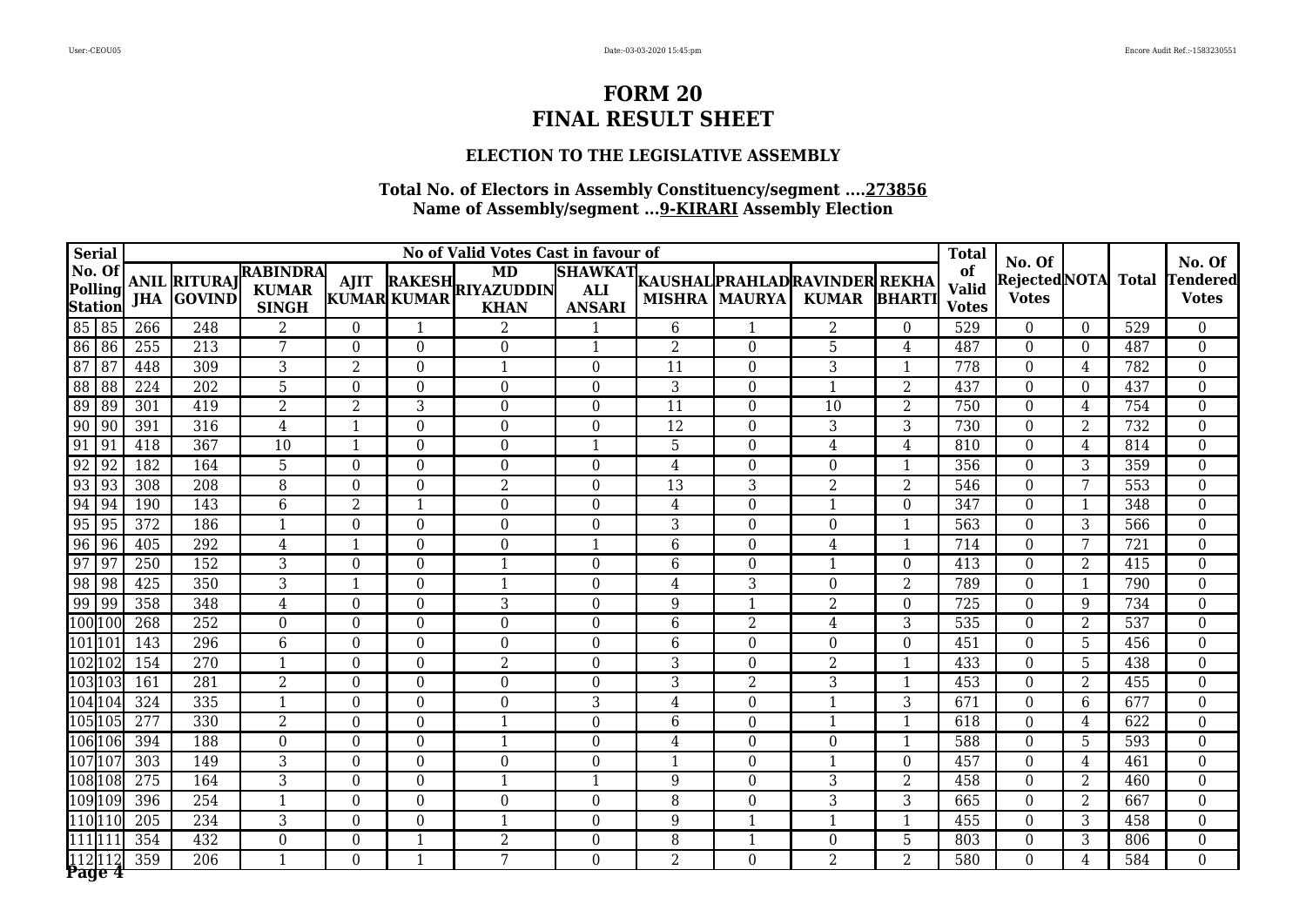## **ELECTION TO THE LEGISLATIVE ASSEMBLY**

|                  | <b>Serial</b>      |                  |                                          |                                                 |                  |                  | No of Valid Votes Cast in favour of           |                                               |                 |                      |                                                |                | <b>Total</b>                       | No. Of                       |                |              | No. Of                          |
|------------------|--------------------|------------------|------------------------------------------|-------------------------------------------------|------------------|------------------|-----------------------------------------------|-----------------------------------------------|-----------------|----------------------|------------------------------------------------|----------------|------------------------------------|------------------------------|----------------|--------------|---------------------------------|
| No. Of           | Polling<br>Station |                  | <b>ANIL RITURAJ</b><br><b>JHA GOVIND</b> | <b>RABINDRA</b><br><b>KUMAR</b><br><b>SINGH</b> | <b>AJIT</b>      | KUMAR KUMAR      | <b>MD</b><br>RAKESH RIYAZUDDIN<br><b>KHAN</b> | <b>SHAWKAT</b><br><b>ALI</b><br><b>ANSARI</b> |                 | <b>MISHRA MAURYA</b> | KAUSHAL PRAHLAD RAVINDER REKHA<br><b>KUMAR</b> | <b>BHARTI</b>  | of<br><b>Valid</b><br><b>Votes</b> | RejectedNOTA<br><b>Votes</b> |                | <b>Total</b> | <b>Tendered</b><br><b>Votes</b> |
| 85 85            |                    | 266              | 248                                      | $\overline{2}$                                  | $\Omega$         | $\mathbf{1}$     | 2                                             |                                               | 6               | $\mathbf{1}$         | $\overline{2}$                                 | $\theta$       | 529                                | $\theta$                     | $\Omega$       | 529          | $\overline{0}$                  |
| 86 86            |                    | 255              | 213                                      | 7                                               | $\theta$         | $\theta$         | $\overline{0}$                                | $\mathbf{1}$                                  | 2               | $\overline{0}$       | 5                                              | $\overline{4}$ | 487                                | $\theta$                     | $\Omega$       | 487          | $\mathbf{0}$                    |
| 87               | l 87               | 448              | 309                                      | 3                                               | $\overline{2}$   | $\overline{0}$   | $\mathbf{1}$                                  | $\Omega$                                      | 11              | $\overline{0}$       | 3                                              | $\mathbf{1}$   | 778                                | $\Omega$                     | 4              | 782          | $\boldsymbol{0}$                |
| 88 88            |                    | 224              | 202                                      | 5                                               | $\theta$         | $\theta$         | $\theta$                                      | $\Omega$                                      | 3               | $\theta$             | $\mathbf{1}$                                   | $\overline{2}$ | 437                                | $\Omega$                     | $\Omega$       | 437          | $\mathbf{0}$                    |
| 89 89            |                    | 301              | 419                                      | $\overline{2}$                                  | $\overline{2}$   | 3                | $\mathbf{0}$                                  | $\Omega$                                      | $\overline{11}$ | $\overline{0}$       | 10                                             | $\overline{2}$ | 750                                | $\theta$                     | 4              | 754          | $\boldsymbol{0}$                |
| $\sqrt{90}$   90 |                    | 391              | 316                                      | 4                                               | 1                | $\boldsymbol{0}$ | $\overline{0}$                                | $\overline{0}$                                | 12              | $\overline{0}$       | 3                                              | 3              | 730                                | $\Omega$                     | 2              | 732          | $\boldsymbol{0}$                |
| 91 91            |                    | 418              | 367                                      | 10                                              | $\mathbf{1}$     | $\theta$         | $\Omega$                                      | $\mathbf{1}$                                  | 5               | $\theta$             | 4                                              | $\overline{4}$ | 810                                | $\theta$                     | 4              | 814          | $\boldsymbol{0}$                |
| 92 92            |                    | 182              | 164                                      | $\overline{5}$                                  | $\theta$         | $\boldsymbol{0}$ | $\mathbf{0}$                                  | $\Omega$                                      | 4               | $\overline{0}$       | $\Omega$                                       | $\overline{1}$ | 356                                | $\Omega$                     | 3              | 359          | $\overline{0}$                  |
| 93 93            |                    | 308              | 208                                      | $\overline{8}$                                  | $\theta$         | $\overline{0}$   | $\overline{2}$                                | $\Omega$                                      | $\overline{13}$ | $\overline{3}$       | $\overline{2}$                                 | $\overline{2}$ | 546                                | $\Omega$                     | 7              | 553          | $\overline{0}$                  |
| 94               | 94                 | 190              | 143                                      | 6                                               | $\overline{2}$   | 1                | $\boldsymbol{0}$                              | $\boldsymbol{0}$                              | 4               | $\boldsymbol{0}$     | $\mathbf{1}$                                   | $\bf{0}$       | 347                                | $\theta$                     | 1              | 348          | $\overline{0}$                  |
| 95 95            |                    | 372              | 186                                      |                                                 | $\overline{0}$   | $\overline{0}$   | $\overline{0}$                                | $\Omega$                                      | 3               | $\overline{0}$       | $\Omega$                                       | $\mathbf{1}$   | 563                                | $\theta$                     | 3              | 566          | $\boldsymbol{0}$                |
| 96               | 96                 | 405              | 292                                      | 4                                               | $\mathbf{1}$     | $\overline{0}$   | $\overline{0}$                                | $\mathbf{1}$                                  | 6               | $\overline{0}$       | 4                                              | $\mathbf{1}$   | 714                                | $\theta$                     | 7              | 721          | $\mathbf{0}$                    |
| 97               | 97                 | 250              | 152                                      | 3                                               | $\theta$         | $\theta$         | 1                                             | $\Omega$                                      | 6               | $\theta$             | $\mathbf 1$                                    | $\Omega$       | 413                                | $\Omega$                     | 2              | 415          | $\mathbf{0}$                    |
| 98               | 98                 | 425              | 350                                      | 3                                               | $\mathbf{1}$     | $\theta$         | 1                                             | $\Omega$                                      | 4               | 3                    | $\Omega$                                       | $\overline{2}$ | 789                                | $\theta$                     | -1             | 790          | $\mathbf{0}$                    |
| 99 99            |                    | 358              | 348                                      | 4                                               | $\theta$         | $\overline{0}$   | 3                                             | $\Omega$                                      | 9               | $\overline{1}$       | $\overline{2}$                                 | $\theta$       | 725                                | $\theta$                     | 9              | 734          | $\mathbf{0}$                    |
|                  | 100 100            | $\overline{268}$ | 252                                      | $\overline{0}$                                  | $\overline{0}$   | $\boldsymbol{0}$ | $\overline{0}$                                | $\overline{0}$                                | 6               | $\overline{2}$       | 4                                              | 3              | 535                                | $\theta$                     | $\overline{2}$ | 537          | $\boldsymbol{0}$                |
| 101 10           |                    | 143              | 296                                      | 6                                               | $\overline{0}$   | $\overline{0}$   | $\overline{0}$                                | $\overline{0}$                                | 6               | $\overline{0}$       | $\overline{0}$                                 | $\overline{0}$ | 451                                | $\overline{0}$               | 5              | 456          | $\boldsymbol{0}$                |
|                  | 102 102            | 154              | 270                                      | 1                                               | $\theta$         | $\theta$         | 2                                             | $\Omega$                                      | 3               | $\Omega$             | $\overline{2}$                                 | $\mathbf{1}$   | 433                                | $\Omega$                     | 5              | 438          | $\boldsymbol{0}$                |
|                  | 103103             | 161              | 281                                      | 2                                               | $\theta$         | $\overline{0}$   | $\overline{0}$                                | $\Omega$                                      | $\overline{3}$  | $\overline{2}$       | $\overline{3}$                                 | $\mathbf{1}$   | 453                                | $\theta$                     | 2              | 455          | $\mathbf{0}$                    |
|                  | 104 104            | 324              | 335                                      | 1                                               | $\theta$         | $\overline{0}$   | $\overline{0}$                                | 3                                             | 4               | $\overline{0}$       | $\mathbf{1}$                                   | $\overline{3}$ | 671                                | $\Omega$                     | 6              | 677          | $\overline{0}$                  |
|                  | 105105             | 277              | 330                                      | $\overline{2}$                                  | $\boldsymbol{0}$ | $\boldsymbol{0}$ | 1                                             | $\boldsymbol{0}$                              | 6               | $\boldsymbol{0}$     | $\mathbf{1}$                                   | $\mathbf{1}$   | 618                                | $\theta$                     | 4              | 622          | $\boldsymbol{0}$                |
|                  | 106106             | 394              | 188                                      | $\overline{0}$                                  | $\boldsymbol{0}$ | $\boldsymbol{0}$ | $\mathbf{1}$                                  | $\overline{0}$                                | $\overline{4}$  | $\boldsymbol{0}$     | $\mathbf{0}$                                   | $\mathbf{1}$   | 588                                | $\theta$                     | 5              | 593          | $\mathbf{0}$                    |
|                  | 107107             | 303              | 149                                      | 3                                               | $\overline{0}$   | $\overline{0}$   | $\overline{0}$                                | $\Omega$                                      | 1               | $\overline{0}$       | $\mathbf 1$                                    | $\theta$       | 457                                | $\Omega$                     | 4              | 461          | $\mathbf{0}$                    |
|                  | 108108             | 275              | 164                                      | 3                                               | $\Omega$         | $\theta$         |                                               |                                               | 9               | $\theta$             | 3                                              | $\overline{2}$ | 458                                | $\theta$                     | 2              | 460          | $\mathbf{0}$                    |
|                  | 109109             | 396              | 254                                      | 1                                               | $\theta$         | $\boldsymbol{0}$ | $\overline{0}$                                | $\Omega$                                      | 8               | $\overline{0}$       | 3                                              | 3              | 665                                | $\Omega$                     | 2              | 667          | $\mathbf{0}$                    |
|                  | 110110             | 205              | 234                                      | 3                                               | 0                | $\overline{0}$   | $\mathbf{1}$                                  | $\Omega$                                      | 9               | $\mathbf{1}$         | 1                                              | $\mathbf{1}$   | 455                                | $\theta$                     | 3              | 458          | $\mathbf{0}$                    |
| l111 <b>l</b> 11 |                    | 354              | 432                                      | $\overline{0}$                                  | $\boldsymbol{0}$ | $\mathbf{1}$     | $\overline{2}$                                | $\boldsymbol{0}$                              | 8               | $\mathbf{1}$         | $\boldsymbol{0}$                               | 5              | 803                                | $\boldsymbol{0}$             | 3              | 806          | $\boldsymbol{0}$                |
|                  | Page 4             | 359              | $\overline{206}$                         | 1                                               | $\Omega$         | $\mathbf{1}$     | 7                                             | $\Omega$                                      | 2               | $\Omega$             | $\overline{2}$                                 | $\overline{2}$ | 580                                | $\Omega$                     | 4              | 584          | $\overline{0}$                  |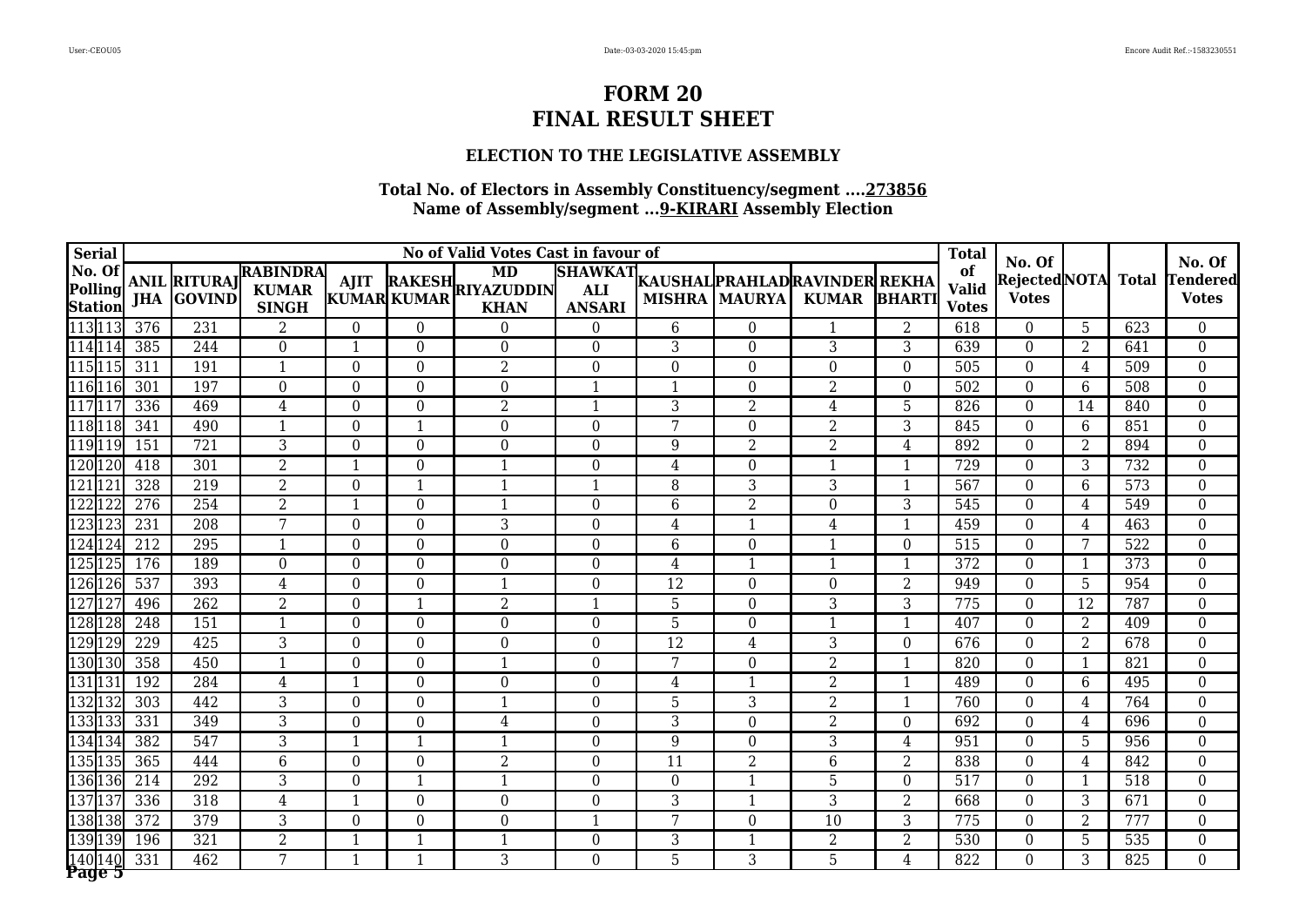### **ELECTION TO THE LEGISLATIVE ASSEMBLY**

|                     | <b>Serial</b>             |            |                                          |                                                 |                                |                                  | No of Valid Votes Cast in favour of           |                                               |                 |                                    |                                                |                     | <b>Total</b>                       |                                        |                |              | No. Of                                        |
|---------------------|---------------------------|------------|------------------------------------------|-------------------------------------------------|--------------------------------|----------------------------------|-----------------------------------------------|-----------------------------------------------|-----------------|------------------------------------|------------------------------------------------|---------------------|------------------------------------|----------------------------------------|----------------|--------------|-----------------------------------------------|
| No. Of              | Polling<br><b>Station</b> |            | <b>ANIL RITURAJ</b><br><b>JHA GOVIND</b> | <b>RABINDRA</b><br><b>KUMAR</b><br><b>SINGH</b> | <b>AJIT</b>                    | KUMAR KUMAR                      | <b>MD</b><br>RAKESH RIYAZUDDIN<br><b>KHAN</b> | <b>SHAWKAT</b><br><b>ALI</b><br><b>ANSARI</b> |                 | <b>MISHRA MAURYA</b>               | KAUSHAL PRAHLAD RAVINDER REKHA<br><b>KUMAR</b> | <b>BHARTI</b>       | of<br><b>Valid</b><br><b>Votes</b> | No. Of<br>RejectedNOTA<br><b>Votes</b> |                | <b>Total</b> | <b><i><u>Fendered</u></i></b><br><b>Votes</b> |
| 113113              |                           | 376        | 231                                      | $\overline{2}$                                  | $\Omega$                       | $\theta$                         | $\Omega$                                      | $\Omega$                                      | 6               | $\theta$                           | $\mathbf 1$                                    | 2                   | 618                                | $\theta$                               | 5              | 623          | $\theta$                                      |
| 114114              |                           | 385        | 244                                      | $\Omega$                                        | $\mathbf{1}$                   | $\overline{0}$                   | $\overline{0}$                                | $\Omega$                                      | 3               | $\overline{0}$                     | 3                                              | 3                   | 639                                | $\theta$                               | $\overline{2}$ | 641          | $\overline{0}$                                |
| 115 115             |                           | 311        | 191                                      | $\mathbf 1$                                     | $\theta$                       | $\overline{0}$                   | $\overline{2}$                                | $\Omega$                                      | $\Omega$        | $\overline{0}$                     | $\Omega$                                       | $\theta$            | 505                                | $\Omega$                               | 4              | 509          | $\boldsymbol{0}$                              |
|                     | l116l116                  | 301        | 197                                      | $\Omega$                                        | $\theta$                       | $\theta$                         | $\theta$                                      | $\mathbf 1$                                   | -1              | $\theta$                           | $\overline{2}$                                 | $\Omega$            | 502                                | $\Omega$                               | 6              | 508          | $\mathbf{0}$                                  |
| 117 11              |                           | 336        | 469                                      | $\overline{4}$                                  | $\boldsymbol{0}$               | $\boldsymbol{0}$                 | $\overline{2}$                                | $\mathbf{1}$                                  | 3               | $\overline{2}$                     | 4                                              | 5                   | 826                                | $\theta$                               | 14             | 840          | $\boldsymbol{0}$                              |
|                     | 118118                    | 341        | 490                                      | 1                                               | $\overline{0}$                 | $\mathbf{1}$                     | $\overline{0}$                                | $\Omega$                                      | 7               | $\overline{0}$                     | 2                                              | 3                   | 845                                | $\Omega$                               | 6              | 851          | $\boldsymbol{0}$                              |
|                     | 119119                    | 151        | 721                                      | 3                                               | $\Omega$                       | $\theta$                         | $\Omega$                                      | $\Omega$                                      | 9               | $\overline{2}$                     | $\overline{2}$                                 | $\overline{4}$      | 892                                | $\theta$                               | $\overline{2}$ | 894          | $\boldsymbol{0}$                              |
|                     | 120120                    | 418        | 301                                      | $\overline{2}$                                  | $\mathbf{1}$                   | $\overline{0}$                   | 1                                             | $\Omega$                                      | 4               | $\overline{0}$                     | $\mathbf 1$                                    | $\mathbf{1}$        | 729                                | $\Omega$                               | 3              | 732          | $\overline{0}$                                |
| 12112               |                           | 328        | 219                                      | $\overline{2}$                                  | 0                              | $\mathbf{1}$                     | $\mathbf{1}$                                  | $\mathbf 1$                                   | 8               | $\overline{3}$                     | $\overline{3}$                                 | $\mathbf{1}$        | 567                                | $\Omega$                               | 6              | 573          | $\overline{0}$                                |
| 122122              |                           | 276        | 254                                      | $\overline{2}$                                  | $\mathbf{1}$                   | $\boldsymbol{0}$                 | 1                                             | $\boldsymbol{0}$                              | 6               | $\overline{2}$                     | $\overline{0}$                                 | 3                   | 545                                | $\theta$                               | 4              | 549          | $\mathbf{0}$                                  |
| 123123              |                           | 231        | 208                                      | 7                                               | $\boldsymbol{0}$               | $\overline{0}$                   | $\overline{3}$                                | $\Omega$                                      | 4               | $\mathbf 1$                        | 4                                              | $\mathbf{1}$        | 459                                | $\theta$                               | 4              | 463          | $\overline{0}$                                |
| 12412               |                           | 212        | 295                                      | 1                                               | $\theta$                       | $\overline{0}$                   | $\overline{0}$                                | $\Omega$                                      | 6               | $\overline{0}$                     | $\mathbf{1}$                                   | $\theta$            | 515                                | $\theta$                               | 7              | 522          | $\mathbf{0}$                                  |
|                     | 125125                    | 176        | 189                                      | $\Omega$                                        | $\theta$                       | $\theta$                         | $\Omega$                                      | $\Omega$                                      | 4               | $\mathbf{1}$                       | $\mathbf 1$                                    | $\mathbf{1}$        | 372                                | $\Omega$                               | $\overline{1}$ | 373          | $\mathbf{0}$                                  |
|                     | l126l126                  | 537        | 393                                      | 4                                               | $\theta$                       | $\theta$                         | 1                                             | $\Omega$                                      | 12              | $\theta$                           | $\Omega$                                       | $\overline{2}$      | 949                                | $\theta$                               | 5              | 954          | $\mathbf{0}$                                  |
| $\overline{127}$ 12 |                           | 496        | 262                                      | $\overline{2}$                                  | $\theta$                       | $\mathbf{1}$                     | 2                                             | $\mathbf{1}$                                  | 5               | $\overline{0}$                     | 3                                              | 3                   | 775                                | $\theta$                               | 12             | 787          | $\overline{0}$                                |
|                     | 128128                    | 248        | 151                                      | 1                                               | $\overline{0}$                 | $\boldsymbol{0}$                 | $\overline{0}$                                | $\overline{0}$                                | 5               | $\boldsymbol{0}$                   | $\mathbf{1}$                                   | $\mathbf{1}$        | 407                                | $\theta$                               | $\overline{2}$ | 409          | $\boldsymbol{0}$                              |
|                     | 129 129                   | 229        | 425                                      | 3                                               | $\overline{0}$                 | $\overline{0}$                   | $\overline{0}$                                | $\overline{0}$                                | $\overline{12}$ | 4                                  | 3                                              | $\overline{0}$      | 676                                | $\overline{0}$                         | 2              | 678          | $\boldsymbol{0}$                              |
|                     | 130 130                   | 358        | 450                                      | 1                                               | $\theta$                       | $\theta$                         | 1                                             | $\Omega$                                      | 7               | $\Omega$                           | $\overline{2}$                                 | $\mathbf{1}$        | 820                                | $\Omega$                               | $\overline{1}$ | 821          | $\mathbf{0}$                                  |
| 131131              |                           | 192        | 284                                      | 4                                               | $\mathbf{1}$                   | $\overline{0}$                   | $\overline{0}$                                | $\Omega$                                      | 4               | $\mathbf{1}$                       | $\overline{2}$                                 | $\mathbf{1}$        | 489                                | $\Omega$                               | 6              | 495          | $\mathbf{0}$                                  |
|                     | 132 132                   | 303        | 442                                      | 3                                               | $\theta$                       | $\overline{0}$                   | 1                                             | $\Omega$                                      | 5               | $\overline{3}$                     | 2                                              | $\mathbf{1}$        | 760                                | $\Omega$                               | 4              | 764          | $\overline{0}$                                |
|                     | 133133                    | 331        | 349                                      | 3                                               | $\boldsymbol{0}$               | $\boldsymbol{0}$<br>$\mathbf{1}$ | $\overline{4}$                                | $\boldsymbol{0}$                              | 3               | $\theta$                           | $\overline{2}$                                 | $\theta$            | 692                                | $\theta$                               | 4              | 696          | $\boldsymbol{0}$                              |
| 134134              | 135135                    | 382<br>365 | 547<br>444                               | 3<br>6                                          | $\mathbf{1}$<br>$\overline{0}$ | $\overline{0}$                   | $\mathbf{1}$<br>$\overline{2}$                | $\overline{0}$<br>$\Omega$                    | 9<br>11         | $\boldsymbol{0}$<br>$\overline{2}$ | 3<br>6                                         | $\overline{4}$<br>2 | 951<br>838                         | $\theta$<br>$\theta$                   | 5              | 956<br>842   | $\overline{0}$<br>$\overline{0}$              |
|                     |                           | 214        | 292                                      | 3                                               | $\Omega$                       | $\mathbf{1}$                     |                                               | $\Omega$                                      | $\Omega$        | $\mathbf{1}$                       | 5                                              | $\Omega$            | 517                                | $\theta$                               | 4<br>-1        | 518          | $\overline{0}$                                |
| 137137              | 136136                    | 336        | 318                                      | 4                                               | $\mathbf 1$                    | $\theta$                         | $\overline{0}$                                | $\Omega$                                      | 3               | $\mathbf{1}$                       | 3                                              | $\overline{2}$      | 668                                | $\Omega$                               | 3              | 671          | $\overline{0}$                                |
|                     | 138138                    | 372        | 379                                      | 3                                               | 0                              | $\overline{0}$                   | $\overline{0}$                                |                                               | 7               | $\overline{0}$                     | 10                                             | 3                   | 775                                | $\theta$                               | 2              | 777          | $\overline{0}$                                |
|                     | 139 139                   | 196        | 321                                      | 2                                               | $\mathbf{1}$                   | $\mathbf{1}$                     | 1                                             | $\boldsymbol{0}$                              | 3               | $\mathbf{1}$                       | $\overline{2}$                                 | $\overline{2}$      | 530                                | $\overline{0}$                         | 5              | 535          | $\boldsymbol{0}$                              |
|                     | 140 140                   | 331        | 462                                      | 7                                               | $\mathbf{1}$                   | $\mathbf{1}$                     | $\overline{3}$                                | $\Omega$                                      | $\overline{5}$  | 3                                  | 5                                              | 4                   | 822                                | $\Omega$                               | 3              | 825          | $\overline{0}$                                |
|                     | Page 5                    |            |                                          |                                                 |                                |                                  |                                               |                                               |                 |                                    |                                                |                     |                                    |                                        |                |              |                                               |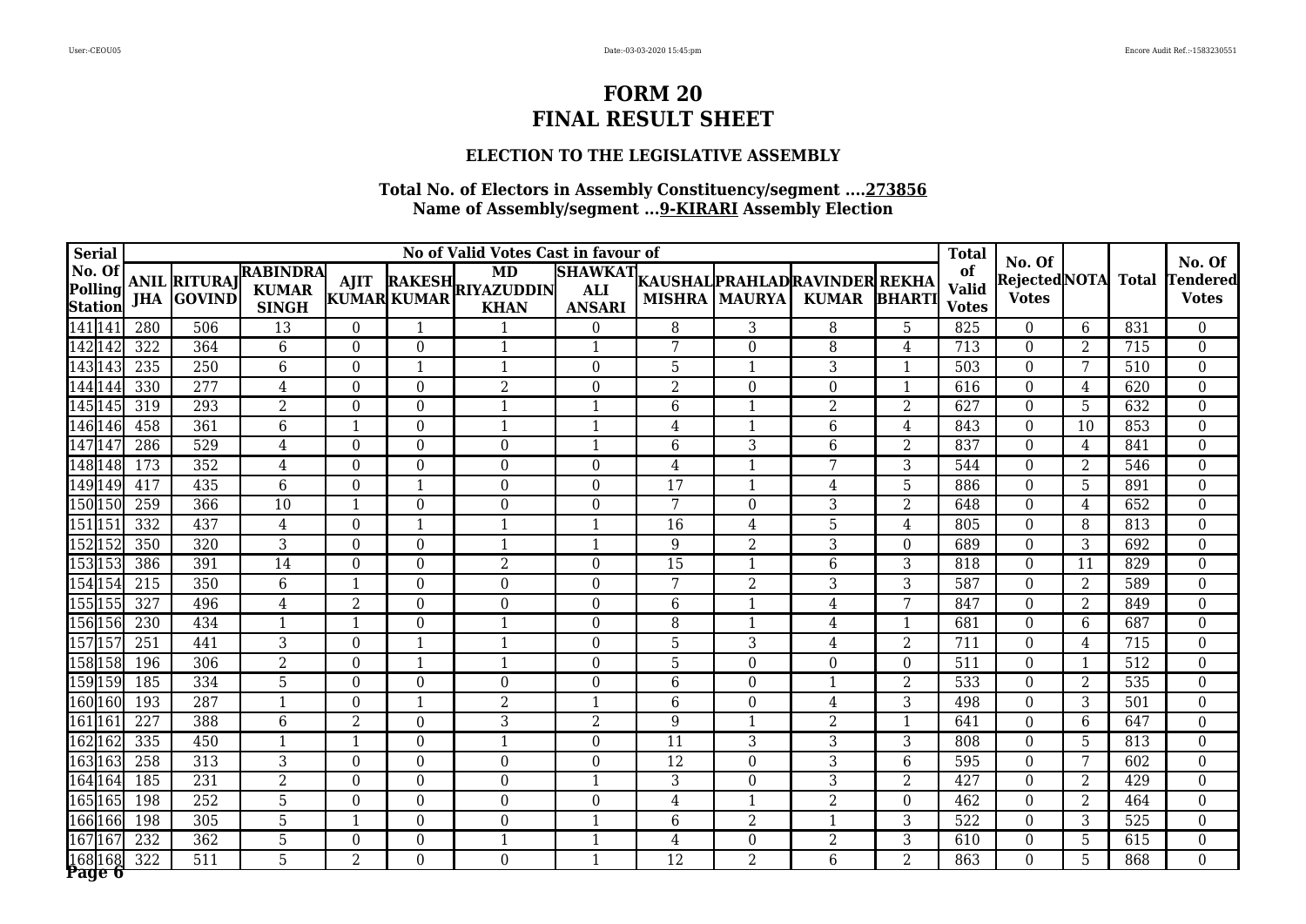## **ELECTION TO THE LEGISLATIVE ASSEMBLY**

|                    | <b>Serial</b>             |     |                                          |                                                 |                  |                          | No of Valid Votes Cast in favour of           |                         |                 |                      |                                                        |                | <b>Total</b>                       |                                               |                |              | No. Of                   |
|--------------------|---------------------------|-----|------------------------------------------|-------------------------------------------------|------------------|--------------------------|-----------------------------------------------|-------------------------|-----------------|----------------------|--------------------------------------------------------|----------------|------------------------------------|-----------------------------------------------|----------------|--------------|--------------------------|
| No. Of             | Polling<br><b>Station</b> |     | <b>ANIL RITURAJ</b><br><b>JHA GOVIND</b> | <b>RABINDRA</b><br><b>KUMAR</b><br><b>SINGH</b> | <b>AJIT</b>      | KUMAR KUMAR              | <b>MD</b><br>RAKESH RIYAZUDDIN<br><b>KHAN</b> | <b>ANSARI</b>           |                 | <b>MISHRA MAURYA</b> | SHAWKAT KAUSHAL PRAHLAD RAVINDER REKHA<br><b>KUMAR</b> | <b>BHARTI</b>  | of<br><b>Valid</b><br><b>Votes</b> | No. Of<br><b>RejectedNOTA</b><br><b>Votes</b> |                | <b>Total</b> | Tendered<br><b>Votes</b> |
| 141 141            |                           | 280 | 506                                      | 13                                              | $\Omega$         | $\mathbf 1$              | $\mathbf 1$                                   | $\Omega$                | 8               | 3                    | 8                                                      | 5              | 825                                | $\Omega$                                      | 6              | 831          | $\Omega$                 |
| 142142             |                           | 322 | 364                                      | 6                                               | $\theta$         | $\Omega$                 | $\mathbf{1}$                                  | $\overline{1}$          | 7               | $\theta$             | 8                                                      | 4              | 713                                | $\Omega$                                      | 2              | 715          | $\overline{0}$           |
| 143 143            |                           | 235 | 250                                      | 6                                               | $\overline{0}$   | $\overline{\phantom{a}}$ | $\mathbf{1}$                                  | $\Omega$                | 5               | 1                    | 3                                                      | $\mathbf{1}$   | 503                                | $\Omega$                                      | 7              | 510          | $\overline{0}$           |
| 144144             |                           | 330 | 277                                      | 4                                               | $\theta$         | $\Omega$                 | $\overline{2}$                                | $\Omega$                | $\overline{2}$  | $\theta$             | $\Omega$                                               | $\mathbf{1}$   | 616                                | $\Omega$                                      | 4              | 620          | $\Omega$                 |
|                    | 145145                    | 319 | 293                                      | $\overline{2}$                                  | $\boldsymbol{0}$ | $\overline{0}$           | $\mathbf{1}$                                  | $\overline{1}$          | 6               | $\mathbf{1}$         | $\overline{2}$                                         | $\overline{2}$ | 627                                | $\overline{0}$                                | 5              | 632          | $\boldsymbol{0}$         |
|                    | 146 146                   | 458 | 361                                      | 6                                               | $\overline{1}$   | $\mathbf{0}$             | $\mathbf{1}$                                  | $\overline{1}$          | 4               | $\overline{1}$       | 6                                                      | $\overline{4}$ | 843                                | $\Omega$                                      | 10             | 853          | $\boldsymbol{0}$         |
| 14714              |                           | 286 | 529                                      | $\overline{4}$                                  | $\theta$         | $\Omega$                 | $\Omega$                                      | $\mathbf{1}$            | 6               | 3                    | 6                                                      | $\overline{2}$ | 837                                | $\Omega$                                      | 4              | 841          | $\boldsymbol{0}$         |
|                    | 148 148                   | 173 | 352                                      | 4                                               | $\theta$         | $\mathbf{0}$             | $\boldsymbol{0}$                              | $\Omega$                | 4               | $\mathbf{1}$         | 7                                                      | 3              | 544                                | $\Omega$                                      | 2              | 546          | $\mathbf{0}$             |
|                    | 149 149                   | 417 | 435                                      | $\overline{6}$                                  | $\overline{0}$   | 1                        | $\overline{0}$                                | $\Omega$                | $\overline{17}$ | $\mathbf{1}$         | 4                                                      | $\overline{5}$ | 886                                | $\Omega$                                      | 5              | 891          | $\overline{0}$           |
|                    | 150 150                   | 259 | 366                                      | 10                                              | $\mathbf{1}$     | $\Omega$                 | $\boldsymbol{0}$                              | $\theta$                | 7               | $\boldsymbol{0}$     | 3                                                      | $\overline{2}$ | 648                                | $\theta$                                      | 4              | 652          | $\boldsymbol{0}$         |
| 151 15             |                           | 332 | 437                                      | $\overline{4}$                                  | $\boldsymbol{0}$ | -1                       |                                               | 1                       | 16              | 4                    | 5                                                      | 4              | 805                                | $\Omega$                                      | 8              | 813          | $\boldsymbol{0}$         |
| 152152             |                           | 350 | 320                                      | 3                                               | $\overline{0}$   | $\mathbf{0}$             | $\mathbf{1}$                                  | $\mathbf{1}$            | 9               | $\overline{2}$       | 3                                                      | $\Omega$       | 689                                | $\Omega$                                      | 3              | 692          | $\boldsymbol{0}$         |
|                    | 153153                    | 386 | 391                                      | 14                                              | $\theta$         | $\Omega$                 | $\overline{2}$                                | $\Omega$                | 15              | $\mathbf{1}$         | 6                                                      | 3              | 818                                | $\Omega$                                      | 11             | 829          | $\boldsymbol{0}$         |
|                    | 154 154                   | 215 | 350                                      | 6                                               | $\overline{1}$   | $\Omega$                 | $\boldsymbol{0}$                              | $\Omega$                | 7               | $\overline{2}$       | 3                                                      | 3              | 587                                | $\Omega$                                      | 2              | 589          | $\boldsymbol{0}$         |
|                    | 155155                    | 327 | 496                                      | 4                                               | $\overline{2}$   | $\Omega$                 | $\Omega$                                      | $\theta$                | 6               | 1                    | 4                                                      | 7              | 847                                | $\theta$                                      | 2              | 849          | $\overline{0}$           |
|                    | 156 156                   | 230 | 434                                      | $\mathbf 1$                                     | $\overline{1}$   | $\mathbf{0}$             | $\overline{1}$                                | $\theta$                | 8               | $\mathbf{1}$         | 4                                                      | $\mathbf{1}$   | 681                                | $\overline{0}$                                | 6              | 687          | $\boldsymbol{0}$         |
| 15715              |                           | 251 | 441                                      | 3                                               | $\overline{0}$   |                          |                                               | $\Omega$                | 5               | 3                    | 4                                                      | $\overline{2}$ | 711                                | $\overline{0}$                                | 4              | 715          | $\boldsymbol{0}$         |
|                    | 158158                    | 196 | 306                                      | $\overline{2}$                                  | $\theta$         | -1                       | $\mathbf 1$                                   | $\Omega$                | 5               | $\theta$             | $\Omega$                                               | $\Omega$       | 511                                | $\Omega$                                      | -1             | 512          | $\Omega$                 |
|                    | 159 159                   | 185 | 334                                      | $\overline{5}$                                  | $\theta$         | $\mathbf{0}$             | $\Omega$                                      | $\Omega$                | 6               | $\mathbf{0}$         | $\mathbf{1}$                                           | $\overline{2}$ | 533                                | $\Omega$                                      | 2              | 535          | $\boldsymbol{0}$         |
|                    | 160 160                   | 193 | 287                                      | $\mathbf{1}$                                    | $\theta$         | 1                        | $\overline{2}$                                | $\overline{\mathbf{1}}$ | 6               | $\theta$             | 4                                                      | $\overline{3}$ | 498                                | $\Omega$                                      | 3              | 501          | $\boldsymbol{0}$         |
| 161161             |                           | 227 | 388                                      | 6                                               | $\overline{2}$   | $\Omega$                 | $\overline{3}$                                | $\overline{2}$          | 9               | $\mathbf{1}$         | $\overline{2}$                                         | $\mathbf{1}$   | 641                                | $\Omega$                                      | 6              | 647          | $\boldsymbol{0}$         |
| 162162             |                           | 335 | 450                                      | $\mathbf{1}$                                    | $\overline{1}$   | $\mathbf{0}$             | $\mathbf{1}$                                  | $\overline{0}$          | 11              | 3                    | 3                                                      | 3              | 808                                | $\overline{0}$                                | $5\phantom{.}$ | 813          | $\boldsymbol{0}$         |
|                    | 163163                    | 258 | 313                                      | 3                                               | $\overline{0}$   | $\mathbf{0}$             | $\Omega$                                      | $\Omega$                | 12              | $\overline{0}$       | 3                                                      | 6              | 595                                | $\Omega$                                      | 7              | 602          | $\overline{0}$           |
|                    | 164164                    | 185 | 231                                      | $\overline{2}$                                  | $\theta$         | $\Omega$                 | $\Omega$                                      | $\overline{1}$          | 3               | $\overline{0}$       | 3                                                      | $\overline{2}$ | 427                                | $\Omega$                                      | 2              | 429          | $\overline{0}$           |
|                    | 165165                    | 198 | 252                                      | 5                                               | $\overline{0}$   | $\Omega$                 | $\boldsymbol{0}$                              | $\Omega$                | 4               | $\mathbf{1}$         | $\overline{2}$                                         | $\Omega$       | 462                                | $\Omega$                                      | $\overline{2}$ | 464          | $\overline{0}$           |
|                    | 166166                    | 198 | 305                                      | 5                                               | $\mathbf{1}$     | $\Omega$                 | $\Omega$                                      | $\overline{1}$          | 6               | $\overline{2}$       | $\mathbf{1}$                                           | 3              | 522                                | $\theta$                                      | 3              | 525          | $\overline{0}$           |
| $167\overline{16}$ |                           | 232 | 362                                      | 5                                               | $\boldsymbol{0}$ | $\boldsymbol{0}$         | $\mathbf{1}$                                  | $\mathbf{1}$            | $\overline{4}$  | $\boldsymbol{0}$     | $\overline{2}$                                         | 3              | 610                                | $\Omega$                                      | 5              | 615          | $\boldsymbol{0}$         |
| 168 1              | l 68l<br>Page 6           | 322 | $\overline{511}$                         | $\overline{5}$                                  | $\overline{2}$   | $\theta$                 | $\overline{0}$                                | $\mathbf{1}$            | $\overline{12}$ | $\overline{2}$       | 6                                                      | $\overline{2}$ | 863                                | $\Omega$                                      | 5              | 868          | $\Omega$                 |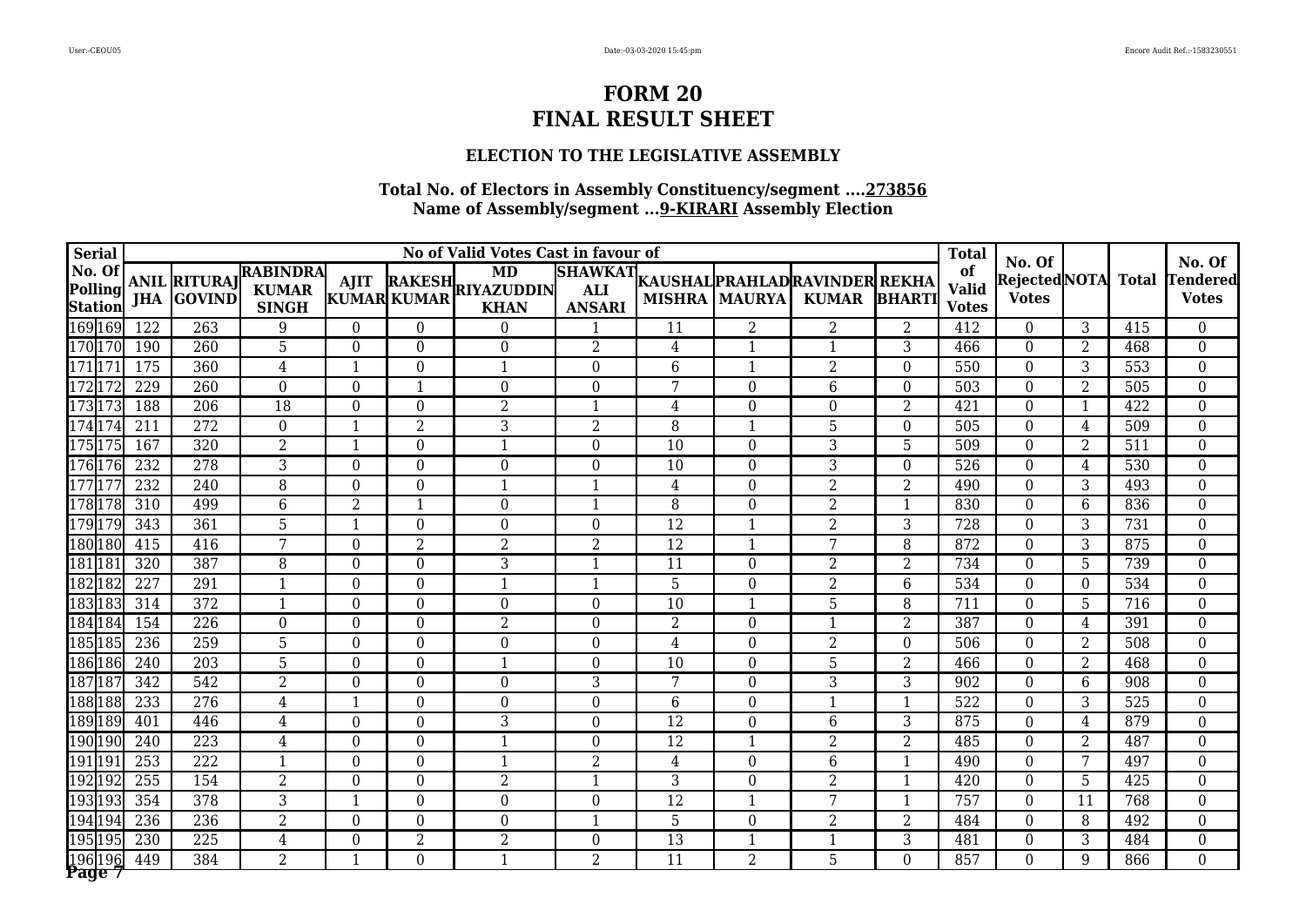### **ELECTION TO THE LEGISLATIVE ASSEMBLY**

| <b>Serial</b>                       |                                                    |                                                 |                  |                  | No of Valid Votes Cast in favour of           |                                               |                 |                      |                                                |                | <b>Total</b>                       |                                        |                         |              |                                           |
|-------------------------------------|----------------------------------------------------|-------------------------------------------------|------------------|------------------|-----------------------------------------------|-----------------------------------------------|-----------------|----------------------|------------------------------------------------|----------------|------------------------------------|----------------------------------------|-------------------------|--------------|-------------------------------------------|
| No. Of<br>Polling<br><b>Station</b> | <b>ANIL RITURAJ</b><br><b>GOVIND</b><br><b>JHA</b> | <b>RABINDRA</b><br><b>KUMAR</b><br><b>SINGH</b> | <b>AJIT</b>      | KUMAR KUMAR      | <b>MD</b><br>RAKESH RIYAZUDDIN<br><b>KHAN</b> | <b>SHAWKAT</b><br><b>ALI</b><br><b>ANSARI</b> |                 | <b>MISHRA MAURYA</b> | KAUSHAL PRAHLAD RAVINDER REKHA<br><b>KUMAR</b> | <b>BHARTI</b>  | of<br><b>Valid</b><br><b>Votes</b> | No. Of<br>RejectedNOTA<br><b>Votes</b> |                         | <b>Total</b> | No. Of<br><b>Tendered</b><br><b>Votes</b> |
| 169 169                             | 122<br>263                                         | 9                                               | $\theta$         | $\Omega$         | $\Omega$                                      | $\mathbf 1$                                   | 11              | 2                    | 2                                              | 2              | 412                                | $\Omega$                               | 3                       | 415          | $\theta$                                  |
| 170170                              | 190<br>260                                         | 5                                               | $\theta$         | $\overline{0}$   | $\Omega$                                      | $\overline{2}$                                | 4               | 1                    | $\mathbf{1}$                                   | 3              | 466                                | $\theta$                               | $\overline{2}$          | 468          | $\boldsymbol{0}$                          |
| 17117                               | 175<br>360                                         | 4                                               | $\mathbf{1}$     | $\overline{0}$   | $\mathbf{1}$                                  | $\overline{0}$                                | $6\phantom{1}6$ | 1                    | $\overline{2}$                                 | $\theta$       | 550                                | $\Omega$                               | 3                       | 553          | $\boldsymbol{0}$                          |
| 17217                               | 229<br>260                                         | $\Omega$                                        | $\Omega$         | $\mathbf{1}$     | $\Omega$                                      | $\theta$                                      | 7               | $\theta$             | 6                                              | $\Omega$       | 503                                | $\Omega$                               | 2                       | 505          | $\boldsymbol{0}$                          |
| 17317                               | 188<br>206                                         | $\overline{18}$                                 | $\boldsymbol{0}$ | $\boldsymbol{0}$ | $\overline{2}$                                | $\overline{1}$                                | $\overline{4}$  | $\overline{0}$       | $\boldsymbol{0}$                               | $\overline{2}$ | 421                                | $\mathbf{0}$                           | $\overline{\mathbf{1}}$ | 422          | $\boldsymbol{0}$                          |
| 174174                              | $\overline{272}$<br>211                            | $\overline{0}$                                  | $\mathbf{1}$     | $\overline{2}$   | 3                                             | $\overline{2}$                                | 8               |                      | 5                                              | $\overline{0}$ | 505                                | $\mathbf{0}$                           | 4                       | 509          | $\boldsymbol{0}$                          |
| 17517                               | 320<br>167                                         | $\overline{2}$                                  | $\mathbf{1}$     | $\theta$         | $\mathbf{1}$                                  | $\theta$                                      | $\overline{10}$ | $\theta$             | 3                                              | 5              | 509                                | $\theta$                               | 2                       | 511          | $\boldsymbol{0}$                          |
| 176176                              | 232<br>278                                         | $\overline{3}$                                  | $\overline{0}$   | $\overline{0}$   | $\mathbf{0}$                                  | $\theta$                                      | 10              | $\Omega$             | 3                                              | $\Omega$       | 526                                | $\Omega$                               | 4                       | 530          | $\overline{0}$                            |
| $177$ <sup>17</sup>                 | 232<br>240                                         | $\overline{8}$                                  | $\overline{0}$   | $\overline{0}$   | $\mathbf{1}$                                  | $\mathbf{1}$                                  | 4               | $\Omega$             | $\overline{2}$                                 | $\overline{2}$ | 490                                | $\Omega$                               | 3                       | 493          | $\overline{0}$                            |
| 178178                              | 310<br>499                                         | 6                                               | $\overline{2}$   | $\mathbf{1}$     | $\boldsymbol{0}$                              | 1                                             | 8               | $\overline{0}$       | $\overline{2}$                                 | $\mathbf{1}$   | 830                                | $\theta$                               | 6                       | 836          | $\boldsymbol{0}$                          |
| 179179                              | 361<br>343                                         | 5                                               | $\overline{1}$   | $\overline{0}$   | $\Omega$                                      | $\overline{0}$                                | 12              |                      | $\overline{2}$                                 | $\overline{3}$ | 728                                | $\theta$                               | 3                       | 731          | $\boldsymbol{0}$                          |
| 180 180                             | 416<br>415                                         | 7                                               | $\boldsymbol{0}$ | $\overline{2}$   | $\overline{2}$                                | $\overline{2}$                                | $\overline{12}$ | $\overline{1}$       | 7                                              | 8              | 872                                | $\theta$                               | 3                       | 875          | $\boldsymbol{0}$                          |
| 181183                              | 387<br>320                                         | 8                                               | $\overline{0}$   | $\overline{0}$   | 3                                             | $\mathbf{1}$                                  | 11              | $\theta$             | $\overline{2}$                                 | $\overline{2}$ | 734                                | $\Omega$                               | 5                       | 739          | $\boldsymbol{0}$                          |
| 182182                              | 291<br>227                                         | $\overline{1}$                                  | $\boldsymbol{0}$ | $\theta$         |                                               | $\mathbf 1$                                   | 5               | $\theta$             | $\overline{2}$                                 | 6              | 534                                | $\theta$                               | 0                       | 534          | $\boldsymbol{0}$                          |
| 183183                              | 314<br>372                                         | $\mathbf{1}$                                    | $\overline{0}$   | $\overline{0}$   | $\overline{0}$                                | $\Omega$                                      | 10              | $\mathbf 1$          | 5                                              | 8              | 711                                | $\theta$                               | 5                       | 716          | $\mathbf{0}$                              |
| 184 184                             | 154<br>226                                         | $\boldsymbol{0}$                                | $\overline{0}$   | $\boldsymbol{0}$ | $\overline{2}$                                | $\overline{0}$                                | $\overline{2}$  | $\overline{0}$       | -1                                             | $\overline{2}$ | 387                                | $\theta$                               | 4                       | 391          | $\boldsymbol{0}$                          |
| 185185                              | 236<br>259                                         | 5                                               | $\boldsymbol{0}$ | $\overline{0}$   | $\Omega$                                      | $\overline{0}$                                | 4               | $\overline{0}$       | 2                                              | $\overline{0}$ | 506                                | $\theta$                               | 2                       | 508          | $\boldsymbol{0}$                          |
| 186 186                             | 203<br>240                                         | 5                                               | $\overline{0}$   | $\Omega$         | -1                                            | $\Omega$                                      | 10              | $\Omega$             | 5                                              | 2              | 466                                | $\Omega$                               | $\overline{2}$          | 468          | $\boldsymbol{0}$                          |
| 18718                               | 342<br>542                                         | $\overline{2}$                                  | $\overline{0}$   | $\overline{0}$   | $\Omega$                                      | $\overline{3}$                                | 7               | $\overline{0}$       | $\overline{3}$                                 | $\overline{3}$ | 902                                | $\theta$                               | 6                       | 908          | $\boldsymbol{0}$                          |
| 188188                              | 233<br>276                                         | 4                                               | $\mathbf{1}$     | $\boldsymbol{0}$ | $\Omega$                                      | $\theta$                                      | $6\phantom{1}6$ | $\overline{0}$       |                                                | 1              | 522                                | $\Omega$                               | 3                       | 525          | $\overline{0}$                            |
| 189189                              | 446<br>401                                         | 4                                               | $\overline{0}$   | $\boldsymbol{0}$ | 3                                             | $\boldsymbol{0}$                              | 12              | $\theta$             | $6\phantom{1}6$                                | 3              | 875                                | $\theta$                               | 4                       | 879          | $\boldsymbol{0}$                          |
| 190190                              | 223<br>240                                         | $\overline{4}$                                  | $\boldsymbol{0}$ | $\boldsymbol{0}$ | $\mathbf{1}$                                  | $\boldsymbol{0}$                              | 12              | $\overline{1}$       | $\overline{2}$                                 | $\overline{2}$ | 485                                | $\mathbf{0}$                           | $\overline{2}$          | 487          | $\boldsymbol{0}$                          |
| 191 19                              | 253<br>222                                         | $\overline{1}$                                  | $\overline{0}$   | $\overline{0}$   | $\mathbf{1}$                                  | $\overline{2}$                                | 4               | $\Omega$             | 6                                              | 1              | 490                                | $\Omega$                               | 7                       | 497          | $\boldsymbol{0}$                          |
| 192192                              | 255<br>154                                         | $\overline{2}$                                  | $\boldsymbol{0}$ | $\theta$         | $\overline{2}$                                | $\mathbf{1}$                                  | 3               | $\Omega$             | $\overline{2}$                                 | 1              | 420                                | $\theta$                               | 5                       | 425          | $\boldsymbol{0}$                          |
| 193193                              | 354<br>378                                         | 3                                               | $\mathbf{1}$     | $\overline{0}$   | $\overline{0}$                                | $\theta$                                      | 12              | 1                    | 7                                              | $\mathbf{1}$   | 757                                | $\Omega$                               | 11                      | 768          | $\boldsymbol{0}$                          |
| 194194                              | 236<br>236                                         | $\overline{2}$                                  | $\Omega$         | $\overline{0}$   | $\Omega$                                      | $\mathbf 1$                                   | $\overline{5}$  | $\theta$             | $\overline{2}$                                 | $\overline{2}$ | 484                                | $\theta$                               | 8                       | 492          | $\boldsymbol{0}$                          |
| 195 195                             | 230<br>225                                         | $\overline{4}$                                  | $\boldsymbol{0}$ | $\overline{2}$   | $\overline{2}$                                | $\boldsymbol{0}$                              | 13              | $\mathbf{1}$         | $\overline{\mathbf{1}}$                        | 3              | 481                                | $\overline{0}$                         | 3                       | 484          | $\boldsymbol{0}$                          |
| 196196<br>Page 7                    | 384<br>449                                         | $\overline{2}$                                  | $\mathbf{1}$     | $\overline{0}$   | $\mathbf{1}$                                  | $\overline{2}$                                | $\overline{11}$ | $\overline{2}$       | 5                                              | $\Omega$       | 857                                | $\Omega$                               | 9                       | 866          | $\overline{0}$                            |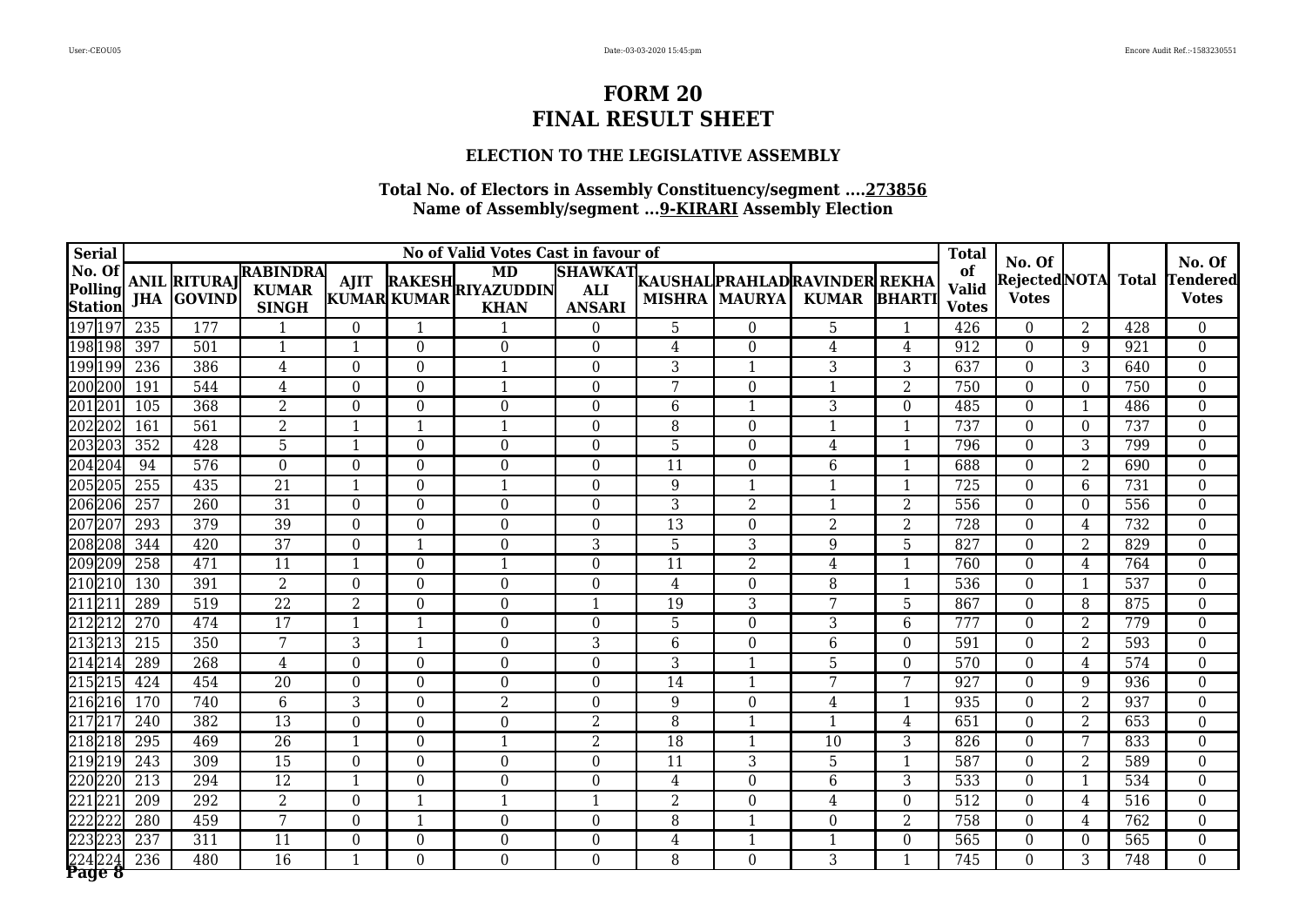### **ELECTION TO THE LEGISLATIVE ASSEMBLY**

|        | <b>Serial</b>             |     |                                          |                                                 |                  |                  | No of Valid Votes Cast in favour of    |                  |                |                          |                                                        |                | <b>Total</b>                       |                                        |                         |              | No. Of                          |
|--------|---------------------------|-----|------------------------------------------|-------------------------------------------------|------------------|------------------|----------------------------------------|------------------|----------------|--------------------------|--------------------------------------------------------|----------------|------------------------------------|----------------------------------------|-------------------------|--------------|---------------------------------|
| No. Of | Polling<br><b>Station</b> |     | <b>ANIL RITURAJ</b><br><b>JHA GOVIND</b> | <b>RABINDRA</b><br><b>KUMAR</b><br><b>SINGH</b> | AJIT             | KUMAR KUMAR      | MD<br>RAKESH RIYAZUDDIN<br><b>KHAN</b> | <b>ANSARI</b>    |                | <b>MISHRA   MAURYA  </b> | SHAWKAT KAUSHAL PRAHLAD RAVINDER REKHA<br>KUMAR BHARTI |                | of<br><b>Valid</b><br><b>Votes</b> | No. Of<br>RejectedNOTA<br><b>Votes</b> |                         | <b>Total</b> | <b>Tendered</b><br><b>Votes</b> |
| 197197 |                           | 235 | 177                                      |                                                 | $\theta$         | $\mathbf{1}$     |                                        | $\Omega$         | 5              | $\Omega$                 | 5                                                      |                | 426                                | $\theta$                               | $\overline{2}$          | 428          | $\overline{0}$                  |
|        | 198198                    | 397 | 501                                      | $\mathbf{1}$                                    | $\mathbf{1}$     | $\overline{0}$   | $\overline{0}$                         | $\Omega$         | $\overline{4}$ | $\overline{0}$           | 4                                                      | $\overline{4}$ | 912                                | $\theta$                               | 9                       | 921          | $\overline{0}$                  |
|        | 199199                    | 236 | 386                                      | 4                                               | $\theta$         | $\theta$         | $\mathbf 1$                            | $\Omega$         | 3              | $\mathbf{1}$             | 3                                                      | 3              | 637                                | $\theta$                               | 3                       | 640          | $\overline{0}$                  |
| 200200 |                           | 191 | 544                                      | 4                                               | $\theta$         | $\theta$         |                                        | $\Omega$         | 7              | $\theta$                 |                                                        | $\overline{2}$ | 750                                | $\Omega$                               | $\Omega$                | 750          | $\overline{0}$                  |
| 20120  |                           | 105 | 368                                      | $\overline{2}$                                  | $\theta$         | $\overline{0}$   | $\theta$                               | $\Omega$         | 6              | $\mathbf{1}$             | 3                                                      | $\theta$       | 485                                | $\theta$                               | $\overline{1}$          | 486          | $\overline{0}$                  |
|        | 202202                    | 161 | 561                                      | $\overline{2}$                                  | $\mathbf{1}$     | $\mathbf{1}$     |                                        | $\Omega$         | 8              | $\boldsymbol{0}$         | $\overline{1}$                                         | $\mathbf{1}$   | 737                                | $\theta$                               | $\Omega$                | 737          | $\boldsymbol{0}$                |
|        | 203203                    | 352 | 428                                      | 5                                               | $\mathbf{1}$     | $\boldsymbol{0}$ | $\overline{0}$                         | $\overline{0}$   | 5              | $\overline{0}$           | $\overline{4}$                                         | $\mathbf{1}$   | 796                                | $\theta$                               | 3                       | 799          | $\boldsymbol{0}$                |
|        | 204204                    | 94  | 576                                      | $\Omega$                                        | $\theta$         | $\theta$         | $\theta$                               | $\Omega$         | 11             | $\theta$                 | 6                                                      | $\mathbf{1}$   | 688                                | $\theta$                               | $\overline{2}$          | 690          | $\mathbf{0}$                    |
|        | 205205                    | 255 | 435                                      | $\overline{21}$                                 | $\mathbf{1}$     | $\boldsymbol{0}$ | 1                                      | $\Omega$         | 9              | $\mathbf{1}$             | $\mathbf{1}$                                           | $\mathbf{1}$   | 725                                | $\theta$                               | 6                       | 731          | $\mathbf{0}$                    |
|        | 206206                    | 257 | 260                                      | $\overline{31}$                                 | $\theta$         | $\boldsymbol{0}$ | $\Omega$                               | $\Omega$         | 3              | $\overline{2}$           | $\mathbf 1$                                            | $\overline{2}$ | 556                                | $\theta$                               | $\Omega$                | 556          | $\mathbf{0}$                    |
| 20720  |                           | 293 | 379                                      | $\overline{39}$                                 | $\Omega$         | $\theta$         | $\Omega$                               | $\Omega$         | 13             | $\theta$                 | $\overline{2}$                                         | $\overline{2}$ | 728                                | $\Omega$                               | 4                       | 732          | $\mathbf{0}$                    |
|        | 208208                    | 344 | 420                                      | $\overline{37}$                                 | $\overline{0}$   | $\mathbf{1}$     | $\overline{0}$                         | 3                | 5              | 3                        | 9                                                      | 5              | 827                                | $\theta$                               | 2                       | 829          | $\boldsymbol{0}$                |
|        | 209209                    | 258 | 471                                      | 11                                              | $\mathbf{1}$     | $\boldsymbol{0}$ | $\mathbf{1}$                           | $\Omega$         | 11             | $\overline{2}$           | 4                                                      | $\mathbf{1}$   | 760                                | $\theta$                               | 4                       | 764          | $\boldsymbol{0}$                |
| 210210 |                           | 130 | 391                                      | $\overline{2}$                                  | $\boldsymbol{0}$ | $\boldsymbol{0}$ | $\overline{0}$                         | $\boldsymbol{0}$ | $\overline{4}$ | $\overline{0}$           | 8                                                      |                | 536                                | $\theta$                               | $\overline{\mathbf{1}}$ | 537          | $\boldsymbol{0}$                |
| 21121  |                           | 289 | 519                                      | $\overline{22}$                                 | $\overline{2}$   | $\boldsymbol{0}$ | $\overline{0}$                         | -1               | 19             | 3                        | 7                                                      | 5              | 867                                | $\theta$                               | 8                       | 875          | $\boldsymbol{0}$                |
| 21221  |                           | 270 | 474                                      | 17                                              | $\mathbf{1}$     | $\mathbf{1}$     | $\Omega$                               | $\Omega$         | 5              | $\overline{0}$           | 3                                                      | 6              | 777                                | $\theta$                               | $\overline{2}$          | 779          | $\mathbf{0}$                    |
| 21321  |                           | 215 | 350                                      | 7                                               | 3                | $\mathbf{1}$     | $\overline{0}$                         | $\overline{3}$   | 6              | $\overline{0}$           | 6                                                      | $\Omega$       | 591                                | $\theta$                               | $\overline{2}$          | 593          | $\boldsymbol{0}$                |
| 21421  |                           | 289 | 268                                      | 4                                               | $\overline{0}$   | $\overline{0}$   | $\overline{0}$                         | $\Omega$         | $\overline{3}$ | $\mathbf{1}$             | 5                                                      | $\Omega$       | 570                                | $\Omega$                               | 4                       | 574          | $\boldsymbol{0}$                |
| 215215 |                           | 424 | 454                                      | $\overline{20}$                                 | $\boldsymbol{0}$ | $\boldsymbol{0}$ | $\boldsymbol{0}$                       | $\Omega$         | 14             | $\mathbf{1}$             | 7                                                      | 7              | 927                                | $\theta$                               | 9                       | 936          | $\overline{0}$                  |
| 21621  |                           | 170 | 740                                      | $\overline{6}$                                  | $\overline{3}$   | $\boldsymbol{0}$ | $\overline{2}$                         | $\Omega$         | 9              | $\overline{0}$           | $\overline{4}$                                         | $\mathbf{1}$   | 935                                | $\theta$                               | $\overline{2}$          | 937          | $\overline{0}$                  |
| 21721  |                           | 240 | 382                                      | 13                                              | $\boldsymbol{0}$ | $\boldsymbol{0}$ | $\overline{0}$                         | 2                | 8              | $\mathbf{1}$             | $\overline{\mathbf{1}}$                                | $\overline{4}$ | 651                                | $\theta$                               | 2                       | 653          | $\boldsymbol{0}$                |
| 21821  |                           | 295 | 469                                      | $\overline{26}$                                 | $\mathbf{1}$     | $\boldsymbol{0}$ | 1                                      | $\overline{2}$   | 18             | $\mathbf{1}$             | 10                                                     | 3              | 826                                | $\theta$                               | 7                       | 833          | $\overline{0}$                  |
| 21921  |                           | 243 | 309                                      | $\overline{15}$                                 | $\overline{0}$   | $\overline{0}$   | $\overline{0}$                         | $\Omega$         | 11             | 3                        | 5                                                      | $\overline{1}$ | 587                                | $\Omega$                               | 2                       | 589          | $\boldsymbol{0}$                |
| 220220 |                           | 213 | 294                                      | $\overline{12}$                                 | $\mathbf{1}$     | $\theta$         | $\Omega$                               | $\Omega$         | 4              | $\overline{0}$           | 6                                                      | 3              | 533                                | $\Omega$                               | $\overline{\mathbf{1}}$ | 534          | $\overline{0}$                  |
| 22122  |                           | 209 | 292                                      | $\overline{2}$                                  | $\theta$         | $\mathbf{1}$     | $\mathbf{1}$                           |                  | $\overline{2}$ | $\theta$                 | 4                                                      | $\theta$       | 512                                | $\theta$                               | 4                       | 516          | $\boldsymbol{0}$                |
| 22222  |                           | 280 | 459                                      | 7                                               | 0                | $\mathbf{1}$     | $\boldsymbol{0}$                       | $\boldsymbol{0}$ | 8              | $\mathbf{1}$             | 0                                                      | $\overline{2}$ | 758                                | $\theta$                               | 4                       | 762          | $\boldsymbol{0}$                |
| 22322  |                           | 237 | 311                                      | 11                                              | $\boldsymbol{0}$ | $\boldsymbol{0}$ | $\boldsymbol{0}$                       | $\boldsymbol{0}$ | $\overline{4}$ | $\mathbf{1}$             | $\overline{\mathbf{1}}$                                | $\theta$       | 565                                | $\overline{0}$                         | $\theta$                | 565          | $\boldsymbol{0}$                |
|        | Page 8                    | 236 | 480                                      | $\overline{16}$                                 | $\mathbf{1}$     | $\Omega$         | $\overline{0}$                         | $\Omega$         | 8              | $\Omega$                 | 3                                                      | $\mathbf 1$    | 745                                | $\Omega$                               | 3                       | 748          | $\overline{0}$                  |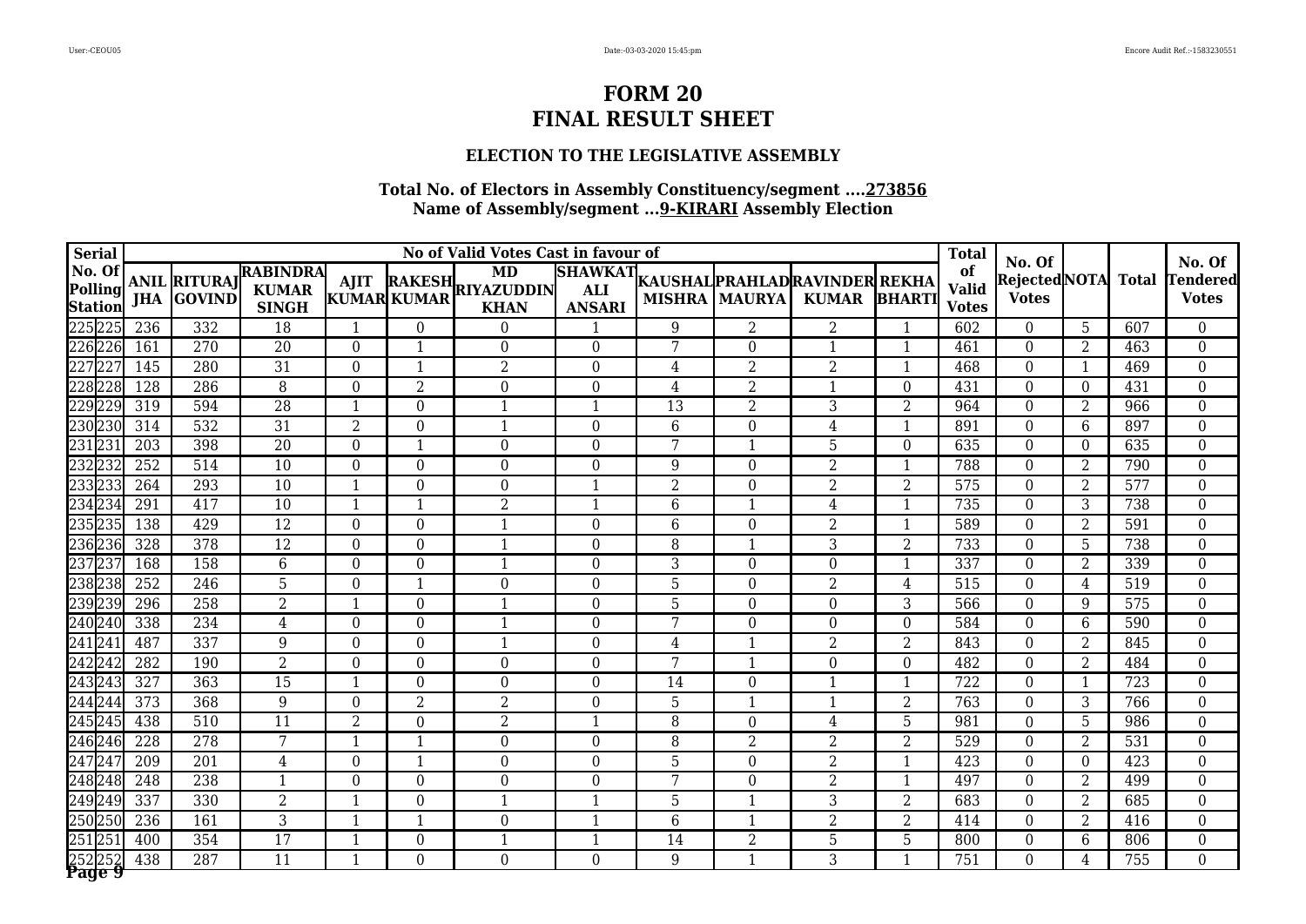### **ELECTION TO THE LEGISLATIVE ASSEMBLY**

| <b>Serial</b>                       |            |                                      |                                                 |                  |                         | No of Valid Votes Cast in favour of           |                                               |                 |                      |                                                |                | <b>Total</b>                       | No. Of                       |                 |              | No. Of                   |
|-------------------------------------|------------|--------------------------------------|-------------------------------------------------|------------------|-------------------------|-----------------------------------------------|-----------------------------------------------|-----------------|----------------------|------------------------------------------------|----------------|------------------------------------|------------------------------|-----------------|--------------|--------------------------|
| No. Of<br>Polling<br><b>Station</b> | <b>JHA</b> | <b>ANIL RITURAJ</b><br><b>GOVIND</b> | <b>RABINDRA</b><br><b>KUMAR</b><br><b>SINGH</b> | <b>AJIT</b>      | KUMAR KUMAR             | <b>MD</b><br>RAKESH RIYAZUDDIN<br><b>KHAN</b> | <b>SHAWKAT</b><br><b>ALI</b><br><b>ANSARI</b> |                 | <b>MISHRA MAURYA</b> | KAUSHAL PRAHLAD RAVINDER REKHA<br><b>KUMAR</b> | <b>BHARTI</b>  | of<br><b>Valid</b><br><b>Votes</b> | RejectedNOTA<br><b>Votes</b> |                 | <b>Total</b> | Tendered<br><b>Votes</b> |
| 225225                              | 236        | 332                                  | 18                                              | $\mathbf{1}$     | $\Omega$                | $\Omega$                                      | $\mathbf 1$                                   | 9               | 2                    | 2                                              | $\mathbf{1}$   | 602                                | $\Omega$                     | $5\phantom{.0}$ | 607          | $\theta$                 |
| 226226                              | 161        | 270                                  | 20                                              | $\theta$         | $\overline{1}$          | $\Omega$                                      | $\theta$                                      | 7               | $\theta$             | $\mathbf{1}$                                   | 1              | 461                                | $\theta$                     | $\overline{2}$  | 463          | $\boldsymbol{0}$         |
| 22722                               | 145        | 280                                  | $\overline{31}$                                 | $\overline{0}$   | $\mathbf{1}$            | $\overline{2}$                                | $\overline{0}$                                | 4               | $\overline{2}$       | $\overline{2}$                                 | $\mathbf{1}$   | 468                                | $\Omega$                     | $\overline{1}$  | 469          | $\boldsymbol{0}$         |
| 228228                              | 128        | 286                                  | 8                                               | $\Omega$         | $\overline{2}$          | $\Omega$                                      | $\theta$                                      | 4               | $\overline{2}$       |                                                | $\Omega$       | 431                                | $\Omega$                     | 0               | 431          | $\boldsymbol{0}$         |
| 229229                              | 319        | 594                                  | $\overline{28}$                                 | $\mathbf{1}$     | $\boldsymbol{0}$        | $\mathbf{1}$                                  | $\overline{1}$                                | 13              | $\overline{2}$       | 3                                              | $\overline{2}$ | 964                                | $\theta$                     | 2               | 966          | $\boldsymbol{0}$         |
| 230230                              | 314        | 532                                  | $\overline{31}$                                 | $\sqrt{2}$       | $\boldsymbol{0}$        |                                               | $\overline{0}$                                | $6\phantom{1}6$ | $\overline{0}$       | 4                                              | $\mathbf{1}$   | 891                                | $\overline{0}$               | 6               | 897          | $\boldsymbol{0}$         |
| 23123                               | 203        | 398                                  | $\overline{20}$                                 | $\overline{0}$   | $\mathbf{1}$            | $\Omega$                                      | $\theta$                                      | 7               | $\mathbf{1}$         | 5                                              | $\Omega$       | 635                                | $\theta$                     | 0               | 635          | $\boldsymbol{0}$         |
| 23223                               | 252        | 514                                  | 10                                              | $\overline{0}$   | $\overline{0}$          | $\Omega$                                      | $\theta$                                      | 9               | $\Omega$             | $\overline{2}$                                 | $\mathbf{1}$   | 788                                | $\Omega$                     | $\overline{2}$  | 790          | $\boldsymbol{0}$         |
| 23323                               | 264        | 293                                  | 10                                              | $\mathbf{1}$     | $\overline{0}$          | $\Omega$                                      | $\mathbf 1$                                   | $\overline{2}$  | $\Omega$             | 2                                              | $\overline{2}$ | 575                                | $\Omega$                     | $\overline{2}$  | 577          | $\overline{0}$           |
| 234234                              | 291        | 417                                  | 10                                              | $\mathbf{1}$     | $\mathbf{1}$            | $\overline{2}$                                | 1                                             | 6               | $\mathbf 1$          | 4                                              | $\mathbf{1}$   | 735                                | $\theta$                     | 3               | 738          | $\boldsymbol{0}$         |
| 23523                               | 138        | 429                                  | $\overline{12}$                                 | $\overline{0}$   | $\boldsymbol{0}$        |                                               | $\overline{0}$                                | 6               | $\overline{0}$       | $\overline{2}$                                 | $\mathbf{1}$   | 589                                | $\theta$                     | $\overline{2}$  | 591          | $\overline{0}$           |
| 236236                              | 328        | 378                                  | $\overline{12}$                                 | $\boldsymbol{0}$ | $\overline{0}$          | $\mathbf{1}$                                  | $\overline{0}$                                | 8               | $\overline{1}$       | 3                                              | $\overline{2}$ | 733                                | $\theta$                     | 5               | 738          | $\boldsymbol{0}$         |
| 23723                               | 168        | 158                                  | 6                                               | $\overline{0}$   | $\Omega$                | -1                                            | $\theta$                                      | 3               | $\theta$             | $\theta$                                       | $\mathbf{1}$   | 337                                | $\theta$                     | $\overline{2}$  | 339          | $\boldsymbol{0}$         |
| 238238                              | 252        | 246                                  | 5                                               | $\boldsymbol{0}$ | $\overline{1}$          | $\theta$                                      | $\theta$                                      | 5               | $\theta$             | $\overline{2}$                                 | 4              | 515                                | $\theta$                     | 4               | 519          | $\boldsymbol{0}$         |
| 239239                              | 296        | 258                                  | $\overline{2}$                                  | $\mathbf{1}$     | $\overline{0}$          | $\mathbf{1}$                                  | $\Omega$                                      | 5               | $\theta$             | $\theta$                                       | 3              | 566                                | $\theta$                     | 9               | 575          | $\boldsymbol{0}$         |
| 240240                              | 338        | 234                                  | 4                                               | $\overline{0}$   | $\boldsymbol{0}$        | $\mathbf 1$                                   | $\overline{0}$                                | $\overline{7}$  | $\overline{0}$       | $\theta$                                       | $\overline{0}$ | 584                                | $\theta$                     | 6               | 590          | $\boldsymbol{0}$         |
| 24124                               | 487        | 337                                  | 9                                               | $\boldsymbol{0}$ | $\overline{0}$          | -1                                            | $\overline{0}$                                | 4               | $\overline{1}$       | 2                                              | $\overline{2}$ | 843                                | $\theta$                     | 2               | 845          | $\boldsymbol{0}$         |
| 24224                               | 282        | 190                                  | 2                                               | $\overline{0}$   | $\Omega$                | $\Omega$                                      | $\theta$                                      | 7               | 1                    | $\theta$                                       | $\Omega$       | 482                                | $\Omega$                     | $\overline{2}$  | 484          | $\boldsymbol{0}$         |
| 24324                               | 327        | 363                                  | 15                                              | $\mathbf{1}$     | $\overline{0}$          | $\Omega$                                      | $\theta$                                      | 14              | $\theta$             | $\mathbf{1}$                                   | 1              | 722                                | $\theta$                     | -1              | 723          | $\boldsymbol{0}$         |
| 244244                              | 373        | 368                                  | 9                                               | $\overline{0}$   | $\overline{2}$          | $\overline{2}$                                | $\theta$                                      | $\overline{5}$  | 1                    |                                                | $\overline{2}$ | 763                                | $\Omega$                     | 3               | 766          | $\overline{0}$           |
| 24524                               | 438        | 510                                  | 11                                              | $\overline{2}$   | $\boldsymbol{0}$        | $\overline{2}$                                | $\overline{1}$                                | 8               | $\theta$             | 4                                              | 5              | 981                                | $\theta$                     | 5               | 986          | $\boldsymbol{0}$         |
| 24624                               | 228        | 278                                  | 7                                               | $\mathbf{1}$     | $\overline{1}$          | $\overline{0}$                                | $\boldsymbol{0}$                              | 8               | $\overline{2}$       | $\overline{2}$                                 | $\overline{2}$ | 529                                | $\theta$                     | 2               | 531          | $\boldsymbol{0}$         |
| 24724                               | 209        | 201                                  | 4                                               | $\overline{0}$   | $\overline{\mathbf{1}}$ | $\Omega$                                      | $\theta$                                      | 5               | $\Omega$             | 2                                              | 1              | 423                                | $\Omega$                     | $\Omega$        | 423          | $\boldsymbol{0}$         |
| 248248                              | 248        | 238                                  | $\overline{\mathbf{1}}$                         | $\Omega$         | $\theta$                | $\Omega$                                      | $\theta$                                      | 7               | $\Omega$             | $\overline{2}$                                 | 1              | 497                                | $\theta$                     | 2               | 499          | $\boldsymbol{0}$         |
| 249249                              | 337        | 330                                  | $\overline{2}$                                  | $\mathbf{1}$     | $\overline{0}$          | $\mathbf{1}$                                  | $\mathbf{1}$                                  | 5               | 1                    | 3                                              | 2              | 683                                | $\Omega$                     | 2               | 685          | $\boldsymbol{0}$         |
| 250250                              | 236        | 161                                  | 3                                               | 1                | $\mathbf{1}$            | $\theta$                                      | $\mathbf 1$                                   | 6               | $\mathbf 1$          | $\overline{2}$                                 | 2              | 414                                | $\theta$                     | $\overline{2}$  | 416          | $\boldsymbol{0}$         |
| 251 25                              | 400        | 354                                  | 17                                              | $\mathbf{1}$     | $\boldsymbol{0}$        | $\mathbf{1}$                                  | $\mathbf{1}$                                  | 14              | $\overline{2}$       | 5                                              | 5              | 800                                | $\overline{0}$               | 6               | 806          | $\boldsymbol{0}$         |
| 25225<br>Page 9                     | 438        | 287                                  | $\overline{11}$                                 | $\mathbf{1}$     | $\overline{0}$          | $\Omega$                                      | $\Omega$                                      | 9               | $\mathbf{1}$         | 3                                              | $\mathbf{1}$   | 751                                | $\Omega$                     | 4               | 755          | $\overline{0}$           |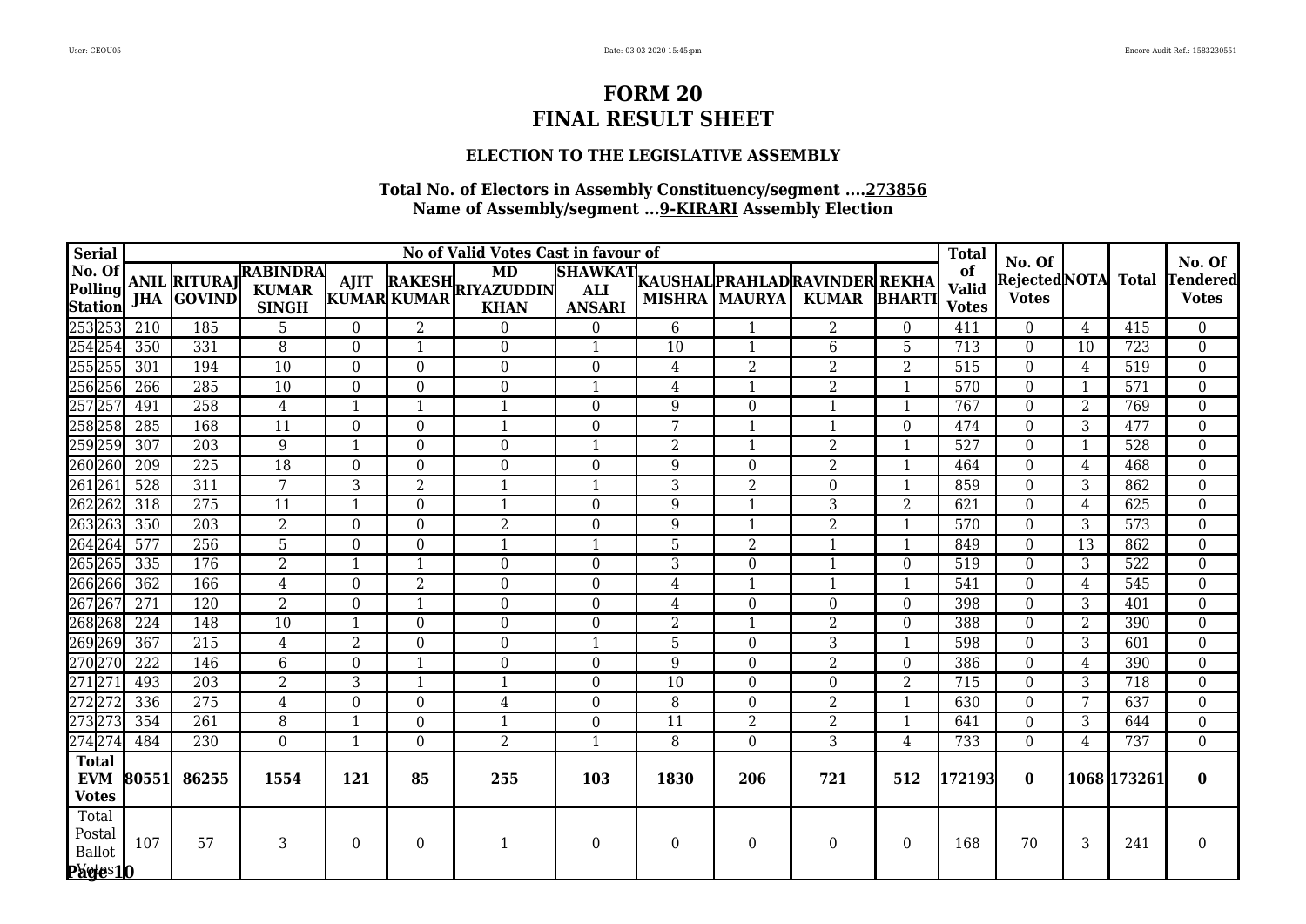### **ELECTION TO THE LEGISLATIVE ASSEMBLY**

| <b>Serial</b>                                 |       |                   |                                                       |                  |                  | No of Valid Votes Cast in favour of                              |                                               |                 |                      |                                                |                  | <b>Total</b>                       |                                               |                |              |                                           |
|-----------------------------------------------|-------|-------------------|-------------------------------------------------------|------------------|------------------|------------------------------------------------------------------|-----------------------------------------------|-----------------|----------------------|------------------------------------------------|------------------|------------------------------------|-----------------------------------------------|----------------|--------------|-------------------------------------------|
| No. Of<br>Polling<br>Station                  |       | <b>JHA GOVIND</b> | ANIL RITURAJ RABINDRA<br><b>KUMAR</b><br><b>SINGH</b> |                  |                  | MD<br>AJIT RAKESH RIYAZUDDIN<br>KUMAR KUMAR KILAN<br><b>KHAN</b> | <b>SHAWKAT</b><br><b>ALI</b><br><b>ANSARI</b> |                 | <b>MISHRA MAURYA</b> | KAUSHAL PRAHLAD RAVINDER REKHA<br>KUMAR BHARTI |                  | of<br><b>Valid</b><br><b>Votes</b> | No. Of<br><b>RejectedNOTA</b><br><b>Votes</b> |                | <b>Total</b> | No. Of<br><b>Tendered</b><br><b>Votes</b> |
| 253 253                                       | 210   | 185               | 5                                                     | $\Omega$         | 2                | $\Omega$                                                         | $\Omega$                                      | 6               |                      | $\overline{2}$                                 | $\Omega$         | 411                                | 0                                             | 4              | 415          | $\Omega$                                  |
| 254 254                                       | 350   | 331               | 8                                                     | $\Omega$         | $\mathbf{1}$     | $\Omega$                                                         | $\mathbf{1}$                                  | 10              | $\mathbf{1}$         | 6                                              | 5                | 713                                | $\Omega$                                      | 10             | 723          | $\overline{0}$                            |
| 255 255                                       | 301   | 194               | 10                                                    | $\boldsymbol{0}$ | $\mathbf{0}$     | $\Omega$                                                         | $\boldsymbol{0}$                              | 4               | $\overline{2}$       | $\overline{2}$                                 | $\overline{2}$   | 515                                | $\Omega$                                      | 4              | 519          | $\overline{0}$                            |
| 256256                                        | 266   | 285               | 10                                                    | $\overline{0}$   | $\overline{0}$   | $\Omega$                                                         | $\mathbf{1}$                                  | 4               | 1                    | $\overline{2}$                                 | $\mathbf 1$      | 570                                | $\Omega$                                      |                | 571          | $\boldsymbol{0}$                          |
| 257257                                        | 491   | 258               | $\overline{4}$                                        | $\mathbf{1}$     | $\mathbf{1}$     | $\mathbf{1}$                                                     | $\Omega$                                      | 9               | $\Omega$             | $\mathbf{1}$                                   | $\mathbf{1}$     | 767                                | $\Omega$                                      | $\overline{2}$ | 769          | $\overline{0}$                            |
| 258 258                                       | 285   | 168               | 11                                                    | $\overline{0}$   | $\overline{0}$   | $\mathbf{1}$                                                     | $\overline{0}$                                | 7               | 1                    | $\mathbf{1}$                                   | $\Omega$         | 474                                | $\Omega$                                      | 3              | 477          | $\overline{0}$                            |
| 259 259                                       | 307   | 203               | $\overline{9}$                                        | $\mathbf{1}$     | $\overline{0}$   | $\Omega$                                                         | $\mathbf{1}$                                  | $\overline{2}$  | $\overline{1}$       | $\overline{2}$                                 | $\mathbf{1}$     | 527                                | $\Omega$                                      |                | 528          | $\overline{0}$                            |
| 260 260                                       | 209   | 225               | $\overline{18}$                                       | $\Omega$         | $\boldsymbol{0}$ | $\Omega$                                                         | $\overline{0}$                                | 9               | $\Omega$             | 2                                              | $\mathbf{1}$     | 464                                | $\Omega$                                      | 4              | 468          | $\overline{0}$                            |
| 261261                                        | 528   | 311               | $\overline{7}$                                        | 3                | $\overline{2}$   | $\mathbf{1}$                                                     | $\mathbf{1}$                                  | $\overline{3}$  | $\overline{2}$       | $\Omega$                                       | $\mathbf{1}$     | 859                                | $\Omega$                                      | 3              | 862          | $\overline{0}$                            |
| 262 262                                       | 318   | 275               | 11                                                    | $\mathbf{1}$     | $\theta$         | 1                                                                | $\overline{0}$                                | 9               | $\mathbf{1}$         | 3                                              | $\overline{2}$   | 621                                | $\Omega$                                      | 4              | 625          | $\overline{0}$                            |
| 263263                                        | 350   | $\overline{203}$  | $\overline{2}$                                        | $\overline{0}$   | $\overline{0}$   | $\overline{2}$                                                   | $\mathbf{0}$                                  | 9               | -1                   | $\overline{2}$                                 | $\mathbf 1$      | 570                                | $\Omega$                                      | 3              | 573          | $\boldsymbol{0}$                          |
| 264 264                                       | 577   | 256               | 5                                                     | $\overline{0}$   | $\overline{0}$   | 1                                                                | $\mathbf{1}$                                  | 5               | $\overline{2}$       | 1                                              | $\mathbf{1}$     | 849                                | $\Omega$                                      | 13             | 862          | $\boldsymbol{0}$                          |
| 265 265                                       | 335   | 176               | $\overline{2}$                                        | $\mathbf{1}$     | 1                | $\Omega$                                                         | $\Omega$                                      | 3               | $\Omega$             | $\mathbf 1$                                    | $\Omega$         | 519                                | $\Omega$                                      | 3              | 522          | $\overline{0}$                            |
| 266266                                        | 362   | 166               | 4                                                     | $\Omega$         | $\overline{2}$   | $\Omega$                                                         | $\Omega$                                      | 4               | $\overline{1}$       | $\overline{\mathbf{1}}$                        |                  | 541                                | $\Omega$                                      | 4              | 545          | $\overline{0}$                            |
| 267267                                        | 271   | 120               | $\overline{2}$                                        | $\boldsymbol{0}$ | $\mathbf{1}$     | $\overline{0}$                                                   | $\boldsymbol{0}$                              | 4               | $\mathbf{0}$         | $\theta$                                       | $\boldsymbol{0}$ | 398                                | $\Omega$                                      | 3              | 401          | $\overline{0}$                            |
| 268 268                                       | 224   | 148               | 10                                                    | $\mathbf{1}$     | $\overline{0}$   | $\Omega$                                                         | $\mathbf{0}$                                  | $\overline{2}$  | $\mathbf{1}$         | 2                                              | $\Omega$         | 388                                | $\Omega$                                      | $\overline{2}$ | 390          | $\overline{0}$                            |
| 269 269                                       | 367   | $\overline{215}$  | $\overline{4}$                                        | $\overline{2}$   | $\overline{0}$   | $\Omega$                                                         | $\mathbf{1}$                                  | 5               | $\Omega$             | 3                                              | $\overline{1}$   | 598                                | $\Omega$                                      | 3              | 601          | $\overline{0}$                            |
| 270270                                        | 222   | 146               | $\overline{6}$                                        | $\Omega$         | $\mathbf{1}$     | $\Omega$                                                         | $\Omega$                                      | $\overline{9}$  | $\Omega$             | $\overline{2}$                                 | $\Omega$         | 386                                | $\Omega$                                      | 4              | 390          | $\overline{0}$                            |
| 271271                                        | 493   | 203               | $\overline{2}$                                        | $\overline{3}$   | $\mathbf{1}$     | $\mathbf{1}$                                                     | $\mathbf{0}$                                  | $\overline{10}$ | $\Omega$             | $\Omega$                                       | $\overline{2}$   | 715                                | $\Omega$                                      | 3              | 718          | $\overline{0}$                            |
| 272 272                                       | 336   | 275               | 4                                                     | $\boldsymbol{0}$ | $\mathbf{0}$     | $\overline{4}$                                                   | $\overline{0}$                                | 8               | $\Omega$             | $\overline{2}$                                 | $\mathbf{1}$     | 630                                | $\Omega$                                      | 7              | 637          | $\boldsymbol{0}$                          |
| 273273                                        | 354   | 261               | 8                                                     | $\mathbf 1$      | $\theta$         | 1                                                                | $\theta$                                      | 11              | $\overline{2}$       | $\overline{2}$                                 |                  | 641                                | $\Omega$                                      | 3              | 644          | $\overline{0}$                            |
| 274274                                        | 484   | 230               | $\Omega$                                              | $\mathbf{1}$     | $\theta$         | $\overline{2}$                                                   | $\mathbf{1}$                                  | 8               | $\Omega$             | 3                                              | 4                | 733                                | $\Omega$                                      | $\overline{4}$ | 737          | $\Omega$                                  |
| <b>Total</b><br><b>EVM</b><br><b>Votes</b>    | 80551 | 86255             | 1554                                                  | 121              | 85               | 255                                                              | 103                                           | 1830            | 206                  | 721                                            | 512              | 172193                             | $\Omega$                                      |                | 1068 173261  | $\mathbf{0}$                              |
| Total<br>Postal<br>${\bf Ballot}$<br>Păcțes10 | 107   | 57                | 3                                                     | $\Omega$         | $\theta$         | 1                                                                | $\overline{0}$                                | $\Omega$        | $\Omega$             | $\Omega$                                       | $\Omega$         | 168                                | 70                                            | 3              | 241          | $\Omega$                                  |